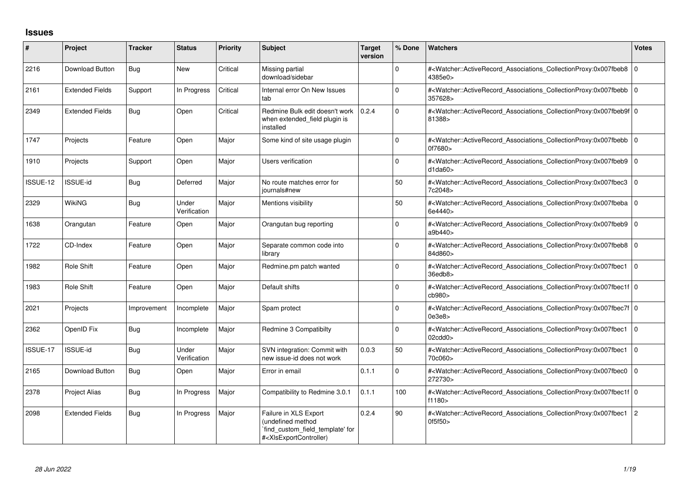## **Issues**

| #        | Project                | <b>Tracker</b> | <b>Status</b>         | Priority | <b>Subject</b>                                                                                                                                                                                                                                                                                                                          | <b>Target</b><br>version | % Done      | <b>Watchers</b>                                                                                                                                                      | <b>Votes</b> |
|----------|------------------------|----------------|-----------------------|----------|-----------------------------------------------------------------------------------------------------------------------------------------------------------------------------------------------------------------------------------------------------------------------------------------------------------------------------------------|--------------------------|-------------|----------------------------------------------------------------------------------------------------------------------------------------------------------------------|--------------|
| 2216     | Download Button        | Bug            | <b>New</b>            | Critical | Missing partial<br>download/sidebar                                                                                                                                                                                                                                                                                                     |                          | $\Omega$    | # <watcher::activerecord_associations_collectionproxy:0x007fbeb8 0<br=""  ="">4385e0&gt;</watcher::activerecord_associations_collectionproxy:0x007fbeb8>             |              |
| 2161     | <b>Extended Fields</b> | Support        | In Progress           | Critical | Internal error On New Issues<br>tab                                                                                                                                                                                                                                                                                                     |                          | $\Omega$    | # <watcher::activerecord_associations_collectionproxy:0x007fbebb 0<br="">357628&gt;</watcher::activerecord_associations_collectionproxy:0x007fbebb>                  |              |
| 2349     | <b>Extended Fields</b> | Bug            | Open                  | Critical | Redmine Bulk edit doesn't work<br>when extended field plugin is<br>installed                                                                                                                                                                                                                                                            | 0.2.4                    | $\Omega$    | # <watcher::activerecord_associations_collectionproxy:0x007fbeb9f 0<br="">81388&gt;</watcher::activerecord_associations_collectionproxy:0x007fbeb9f>                 |              |
| 1747     | Projects               | Feature        | Open                  | Major    | Some kind of site usage plugin                                                                                                                                                                                                                                                                                                          |                          | $\mathbf 0$ | # <watcher::activerecord_associations_collectionproxy:0x007fbebb 0<br="">0f7680&gt;</watcher::activerecord_associations_collectionproxy:0x007fbebb>                  |              |
| 1910     | Projects               | Support        | Open                  | Major    | Users verification                                                                                                                                                                                                                                                                                                                      |                          | 0           | # <watcher::activerecord_associations_collectionproxy:0x007fbeb9 0<br="">d1da60&gt;</watcher::activerecord_associations_collectionproxy:0x007fbeb9>                  |              |
| ISSUE-12 | ISSUE-id               | Bug            | Deferred              | Major    | No route matches error for<br>journals#new                                                                                                                                                                                                                                                                                              |                          | 50          | # <watcher::activerecord_associations_collectionproxy:0x007fbec3 0<br="">7c2048&gt;</watcher::activerecord_associations_collectionproxy:0x007fbec3>                  |              |
| 2329     | WikiNG                 | Bug            | Under<br>Verification | Major    | Mentions visibility                                                                                                                                                                                                                                                                                                                     |                          | 50          | # <watcher::activerecord_associations_collectionproxy:0x007fbeba 0<br=""  ="">6e4440&gt;</watcher::activerecord_associations_collectionproxy:0x007fbeba>             |              |
| 1638     | Orangutan              | Feature        | Open                  | Major    | Orangutan bug reporting                                                                                                                                                                                                                                                                                                                 |                          | $\Omega$    | # <watcher::activerecord_associations_collectionproxy:0x007fbeb9 0<br="">a9b440&gt;</watcher::activerecord_associations_collectionproxy:0x007fbeb9>                  |              |
| 1722     | CD-Index               | Feature        | Open                  | Major    | Separate common code into<br>library                                                                                                                                                                                                                                                                                                    |                          | $\Omega$    | # <watcher::activerecord_associations_collectionproxy:0x007fbeb8 0<br="">84d860&gt;</watcher::activerecord_associations_collectionproxy:0x007fbeb8>                  |              |
| 1982     | Role Shift             | Feature        | Open                  | Major    | Redmine.pm patch wanted                                                                                                                                                                                                                                                                                                                 |                          | $\Omega$    | # <watcher::activerecord_associations_collectionproxy:0x007fbec1<br>36edb8&gt;</watcher::activerecord_associations_collectionproxy:0x007fbec1<br>                    | I٥           |
| 1983     | Role Shift             | Feature        | Open                  | Major    | Default shifts                                                                                                                                                                                                                                                                                                                          |                          | $\Omega$    | # <watcher::activerecord_associations_collectionproxy:0x007fbec1f 0<br=""  ="">cb980<sub>&gt;</sub></watcher::activerecord_associations_collectionproxy:0x007fbec1f> |              |
| 2021     | Projects               | Improvement    | Incomplete            | Major    | Spam protect                                                                                                                                                                                                                                                                                                                            |                          | $\Omega$    | # <watcher::activerecord_associations_collectionproxy:0x007fbec7f 0<br=""  ="">0e3e8</watcher::activerecord_associations_collectionproxy:0x007fbec7f>                |              |
| 2362     | OpenID Fix             | Bug            | Incomplete            | Major    | Redmine 3 Compatibilty                                                                                                                                                                                                                                                                                                                  |                          | $\Omega$    | # <watcher::activerecord_associations_collectionproxy:0x007fbec1<br>02cdd0</watcher::activerecord_associations_collectionproxy:0x007fbec1<br>                        | l O          |
| ISSUE-17 | <b>ISSUE-id</b>        | Bug            | Under<br>Verification | Major    | SVN integration: Commit with<br>new issue-id does not work                                                                                                                                                                                                                                                                              | 0.0.3                    | 50          | # <watcher::activerecord_associations_collectionproxy:0x007fbec1<br>70c060&gt;</watcher::activerecord_associations_collectionproxy:0x007fbec1<br>                    | l O          |
| 2165     | Download Button        | Bug            | Open                  | Major    | Error in email                                                                                                                                                                                                                                                                                                                          | 0.1.1                    | $\mathbf 0$ | # <watcher::activerecord_associations_collectionproxy:0x007fbec0<br>272730&gt;</watcher::activerecord_associations_collectionproxy:0x007fbec0<br>                    | l o          |
| 2378     | Project Alias          | Bug            | In Progress           | Major    | Compatibility to Redmine 3.0.1                                                                                                                                                                                                                                                                                                          | 0.1.1                    | 100         | # <watcher::activerecord_associations_collectionproxy:0x007fbec1f 0<br=""  ="">f1180</watcher::activerecord_associations_collectionproxy:0x007fbec1f>                |              |
| 2098     | <b>Extended Fields</b> | Bug            | In Progress           | Major    | Failure in XLS Export<br>(undefined method<br>`find_custom_field_template' for<br># <xlsexportcontroller)< td=""><td>0.2.4</td><td>90</td><td>#<watcher::activerecord_associations_collectionproxy:0x007fbec1<br>0f5f50&gt;</watcher::activerecord_associations_collectionproxy:0x007fbec1<br></td><td>l 2</td></xlsexportcontroller)<> | 0.2.4                    | 90          | # <watcher::activerecord_associations_collectionproxy:0x007fbec1<br>0f5f50&gt;</watcher::activerecord_associations_collectionproxy:0x007fbec1<br>                    | l 2          |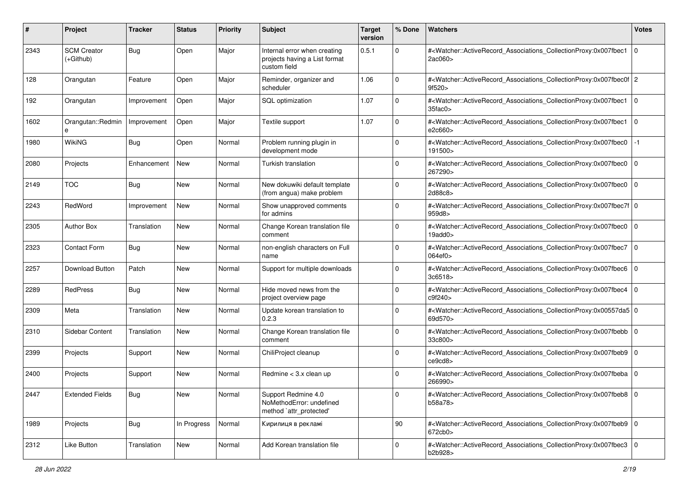| ∦    | Project                           | <b>Tracker</b> | <b>Status</b> | <b>Priority</b> | <b>Subject</b>                                                                | <b>Target</b><br>version | % Done      | <b>Watchers</b>                                                                                                                                                         | <b>Votes</b>   |
|------|-----------------------------------|----------------|---------------|-----------------|-------------------------------------------------------------------------------|--------------------------|-------------|-------------------------------------------------------------------------------------------------------------------------------------------------------------------------|----------------|
| 2343 | <b>SCM Creator</b><br>$(+Github)$ | Bug            | Open          | Major           | Internal error when creating<br>projects having a List format<br>custom field | 0.5.1                    | $\mathbf 0$ | # <watcher::activerecord_associations_collectionproxy:0x007fbec1<br>2ac060&gt;</watcher::activerecord_associations_collectionproxy:0x007fbec1<br>                       | l o            |
| 128  | Orangutan                         | Feature        | Open          | Major           | Reminder, organizer and<br>scheduler                                          | 1.06                     | $\mathbf 0$ | # <watcher::activerecord 2<br="" associations="" collectionproxy:0x007fbec0f="">9f520 &gt;</watcher::activerecord>                                                      |                |
| 192  | Orangutan                         | Improvement    | Open          | Major           | SQL optimization                                                              | 1.07                     | $\mathbf 0$ | # <watcher::activerecord_associations_collectionproxy:0x007fbec1<br><math>35</math>fac<math>0</math></watcher::activerecord_associations_collectionproxy:0x007fbec1<br> | $\overline{0}$ |
| 1602 | Orangutan::Redmin<br>e            | Improvement    | Open          | Major           | Textile support                                                               | 1.07                     | 0           | # <watcher::activerecord_associations_collectionproxy:0x007fbec1<br>e2c660&gt;</watcher::activerecord_associations_collectionproxy:0x007fbec1<br>                       | $\overline{0}$ |
| 1980 | <b>WikiNG</b>                     | Bug            | Open          | Normal          | Problem running plugin in<br>development mode                                 |                          | 0           | # <watcher::activerecord associations="" collectionproxy:0x007fbec0<br="">191500&gt;</watcher::activerecord>                                                            | $-1$           |
| 2080 | Projects                          | Enhancement    | New           | Normal          | Turkish translation                                                           |                          | $\Omega$    | # <watcher::activerecord_associations_collectionproxy:0x007fbec0<br>267290&gt;</watcher::activerecord_associations_collectionproxy:0x007fbec0<br>                       | $\overline{0}$ |
| 2149 | <b>TOC</b>                        | Bug            | New           | Normal          | New dokuwiki default template<br>(from angua) make problem                    |                          | 0           | # <watcher::activerecord_associations_collectionproxy:0x007fbec0<br>2d88c8&gt;</watcher::activerecord_associations_collectionproxy:0x007fbec0<br>                       | $\overline{0}$ |
| 2243 | RedWord                           | Improvement    | New           | Normal          | Show unapproved comments<br>for admins                                        |                          | $\Omega$    | # <watcher::activerecord_associations_collectionproxy:0x007fbec7f 0<br=""  ="">959d8</watcher::activerecord_associations_collectionproxy:0x007fbec7f>                   |                |
| 2305 | <b>Author Box</b>                 | Translation    | New           | Normal          | Change Korean translation file<br>comment                                     |                          | $\mathbf 0$ | # <watcher::activerecord_associations_collectionproxy:0x007fbec0<br><math>19</math>add<math>0</math></watcher::activerecord_associations_collectionproxy:0x007fbec0<br> | $\overline{0}$ |
| 2323 | Contact Form                      | Bug            | New           | Normal          | non-english characters on Full<br>name                                        |                          | $\mathbf 0$ | # <watcher::activerecord_associations_collectionproxy:0x007fbec7<br>064ef0</watcher::activerecord_associations_collectionproxy:0x007fbec7<br>                           | $\overline{0}$ |
| 2257 | Download Button                   | Patch          | New           | Normal          | Support for multiple downloads                                                |                          | 0           | # <watcher::activerecord_associations_collectionproxy:0x007fbec6<br>3c6518&gt;</watcher::activerecord_associations_collectionproxy:0x007fbec6<br>                       | $\overline{0}$ |
| 2289 | RedPress                          | Bug            | New           | Normal          | Hide moved news from the<br>project overview page                             |                          | 0           | # <watcher::activerecord_associations_collectionproxy:0x007fbec4<br>c9f240&gt;</watcher::activerecord_associations_collectionproxy:0x007fbec4<br>                       | $\overline{0}$ |
| 2309 | Meta                              | Translation    | <b>New</b>    | Normal          | Update korean translation to<br>0.2.3                                         |                          | $\Omega$    | # <watcher::activerecord_associations_collectionproxy:0x00557da5 0<br="">69d570&gt;</watcher::activerecord_associations_collectionproxy:0x00557da5>                     |                |
| 2310 | Sidebar Content                   | Translation    | New           | Normal          | Change Korean translation file<br>comment                                     |                          | 0           | # <watcher::activerecord_associations_collectionproxy:0x007fbebb 0<br=""  ="">33c800&gt;</watcher::activerecord_associations_collectionproxy:0x007fbebb>                |                |
| 2399 | Projects                          | Support        | New           | Normal          | ChiliProject cleanup                                                          |                          | 0           | # <watcher::activerecord_associations_collectionproxy:0x007fbeb9 0<br=""  ="">ce9cd8</watcher::activerecord_associations_collectionproxy:0x007fbeb9>                    |                |
| 2400 | Projects                          | Support        | <b>New</b>    | Normal          | Redmine < 3.x clean up                                                        |                          | $\mathbf 0$ | # <watcher::activerecord_associations_collectionproxy:0x007fbeba 0<br=""  ="">266990&gt;</watcher::activerecord_associations_collectionproxy:0x007fbeba>                |                |
| 2447 | <b>Extended Fields</b>            | <b>Bug</b>     | New           | Normal          | Support Redmine 4.0<br>NoMethodError: undefined<br>method `attr_protected'    |                          | 0           | # <watcher::activerecord 0<br="" associations="" collectionproxy:0x007fbeb8="">b58a78&gt;</watcher::activerecord>                                                       |                |
| 1989 | Projects                          | <b>Bug</b>     | In Progress   | Normal          | Кирилиця в рекламі                                                            |                          | 90          | # <watcher::activerecord 0<br="" associations="" collectionproxy:0x007fbeb9=""><math>672</math>cb<math>0</math></watcher::activerecord>                                 |                |
| 2312 | Like Button                       | Translation    | New           | Normal          | Add Korean translation file                                                   |                          | 0           | # <watcher::activerecord_associations_collectionproxy:0x007fbec3 0<br="">b2b928&gt;</watcher::activerecord_associations_collectionproxy:0x007fbec3>                     |                |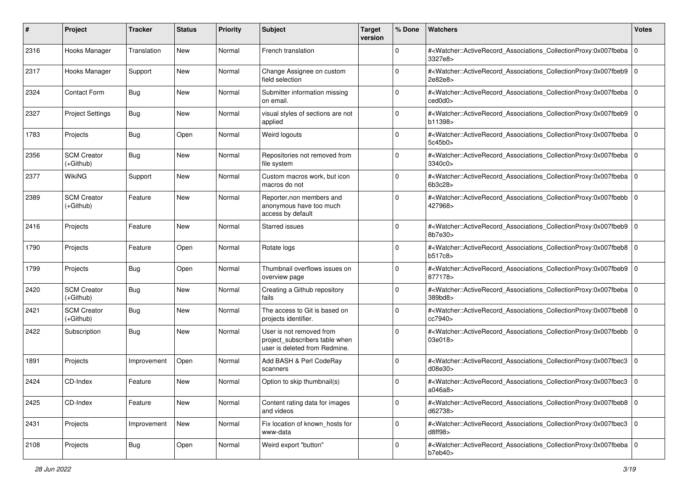| #    | Project                           | <b>Tracker</b> | <b>Status</b> | <b>Priority</b> | <b>Subject</b>                                                                              | <b>Target</b><br>version | % Done      | Watchers                                                                                                                                                 | <b>Votes</b> |
|------|-----------------------------------|----------------|---------------|-----------------|---------------------------------------------------------------------------------------------|--------------------------|-------------|----------------------------------------------------------------------------------------------------------------------------------------------------------|--------------|
| 2316 | Hooks Manager                     | Translation    | <b>New</b>    | Normal          | French translation                                                                          |                          | $\mathbf 0$ | # <watcher::activerecord_associations_collectionproxy:0x007fbeba 0<br=""  ="">3327e8&gt;</watcher::activerecord_associations_collectionproxy:0x007fbeba> |              |
| 2317 | Hooks Manager                     | Support        | New           | Normal          | Change Assignee on custom<br>field selection                                                |                          | $\Omega$    | # <watcher::activerecord_associations_collectionproxy:0x007fbeb9 0<br="">2e82e8&gt;</watcher::activerecord_associations_collectionproxy:0x007fbeb9>      |              |
| 2324 | <b>Contact Form</b>               | <b>Bug</b>     | New           | Normal          | Submitter information missing<br>on email.                                                  |                          | 0           | # <watcher::activerecord_associations_collectionproxy:0x007fbeba 0<br=""  ="">ced0d0&gt;</watcher::activerecord_associations_collectionproxy:0x007fbeba> |              |
| 2327 | <b>Project Settings</b>           | Bug            | <b>New</b>    | Normal          | visual styles of sections are not<br>applied                                                |                          | 0           | # <watcher::activerecord_associations_collectionproxy:0x007fbeb9 0<br="">b11398&gt;</watcher::activerecord_associations_collectionproxy:0x007fbeb9>      |              |
| 1783 | Projects                          | <b>Bug</b>     | Open          | Normal          | Weird logouts                                                                               |                          | $\Omega$    | # <watcher::activerecord_associations_collectionproxy:0x007fbeba 0<br=""  ="">5c45b0&gt;</watcher::activerecord_associations_collectionproxy:0x007fbeba> |              |
| 2356 | <b>SCM Creator</b><br>(+Github)   | <b>Bug</b>     | New           | Normal          | Repositories not removed from<br>file system                                                |                          | $\Omega$    | # <watcher::activerecord_associations_collectionproxy:0x007fbeba 0<br=""  ="">3340c0&gt;</watcher::activerecord_associations_collectionproxy:0x007fbeba> |              |
| 2377 | <b>WikiNG</b>                     | Support        | New           | Normal          | Custom macros work, but icon<br>macros do not                                               |                          | $\Omega$    | # <watcher::activerecord_associations_collectionproxy:0x007fbeba 0<br=""  ="">6b3c28&gt;</watcher::activerecord_associations_collectionproxy:0x007fbeba> |              |
| 2389 | <b>SCM Creator</b><br>$(+Github)$ | Feature        | <b>New</b>    | Normal          | Reporter, non members and<br>anonymous have too much<br>access by default                   |                          | $\mathbf 0$ | # <watcher::activerecord_associations_collectionproxy:0x007fbebb 0<br=""  ="">427968&gt;</watcher::activerecord_associations_collectionproxy:0x007fbebb> |              |
| 2416 | Projects                          | Feature        | <b>New</b>    | Normal          | <b>Starred issues</b>                                                                       |                          | $\mathbf 0$ | # <watcher::activerecord_associations_collectionproxy:0x007fbeb9 0<br="">8b7e30&gt;</watcher::activerecord_associations_collectionproxy:0x007fbeb9>      |              |
| 1790 | Projects                          | Feature        | Open          | Normal          | Rotate logs                                                                                 |                          | $\Omega$    | # <watcher::activerecord_associations_collectionproxy:0x007fbeb8 0<br="">b517c8</watcher::activerecord_associations_collectionproxy:0x007fbeb8>          |              |
| 1799 | Projects                          | Bug            | Open          | Normal          | Thumbnail overflows issues on<br>overview page                                              |                          | $\Omega$    | # <watcher::activerecord_associations_collectionproxy:0x007fbeb9 0<br=""  ="">877178&gt;</watcher::activerecord_associations_collectionproxy:0x007fbeb9> |              |
| 2420 | <b>SCM Creator</b><br>(+Github)   | <b>Bug</b>     | New           | Normal          | Creating a Github repository<br>fails                                                       |                          | $\Omega$    | # <watcher::activerecord_associations_collectionproxy:0x007fbeba 0<br=""  ="">389bd8&gt;</watcher::activerecord_associations_collectionproxy:0x007fbeba> |              |
| 2421 | <b>SCM Creator</b><br>(+Github)   | <b>Bug</b>     | New           | Normal          | The access to Git is based on<br>projects identifier.                                       |                          | $\Omega$    | # <watcher::activerecord_associations_collectionproxy:0x007fbeb8 0<br="">cc7940&gt;</watcher::activerecord_associations_collectionproxy:0x007fbeb8>      |              |
| 2422 | Subscription                      | <b>Bug</b>     | New           | Normal          | User is not removed from<br>project_subscribers table when<br>user is deleted from Redmine. |                          | $\Omega$    | # <watcher::activerecord_associations_collectionproxy:0x007fbebb 0<br=""  ="">03e018&gt;</watcher::activerecord_associations_collectionproxy:0x007fbebb> |              |
| 1891 | Projects                          | Improvement    | Open          | Normal          | Add BASH & Perl CodeRay<br>scanners                                                         |                          | $\Omega$    | # <watcher::activerecord_associations_collectionproxy:0x007fbec3<br>d08e30&gt;</watcher::activerecord_associations_collectionproxy:0x007fbec3<br>        | 0            |
| 2424 | CD-Index                          | Feature        | New           | Normal          | Option to skip thumbnail(s)                                                                 |                          | $\Omega$    | # <watcher::activerecord_associations_collectionproxy:0x007fbec3<br>a046a8&gt;</watcher::activerecord_associations_collectionproxy:0x007fbec3<br>        | 0            |
| 2425 | CD-Index                          | Feature        | <b>New</b>    | Normal          | Content rating data for images<br>and videos                                                |                          | $\mathbf 0$ | # <watcher::activerecord_associations_collectionproxy:0x007fbeb8 0<br=""  ="">d62738&gt;</watcher::activerecord_associations_collectionproxy:0x007fbeb8> |              |
| 2431 | Projects                          | Improvement    | <b>New</b>    | Normal          | Fix location of known_hosts for<br>www-data                                                 |                          | $\mathbf 0$ | # <watcher::activerecord_associations_collectionproxy:0x007fbec3 0<br="">d8ff98</watcher::activerecord_associations_collectionproxy:0x007fbec3>          |              |
| 2108 | Projects                          | <b>Bug</b>     | Open          | Normal          | Weird export "button"                                                                       |                          | $\Omega$    | # <watcher::activerecord 0<br="" associations="" collectionproxy:0x007fbeba="">b7eb40&gt;</watcher::activerecord>                                        |              |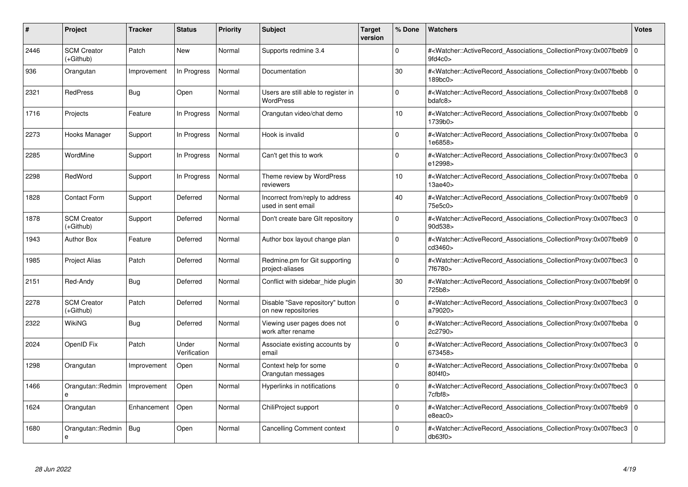| #    | Project                         | <b>Tracker</b> | <b>Status</b>         | <b>Priority</b> | <b>Subject</b>                                          | <b>Target</b><br>version | % Done      | <b>Watchers</b>                                                                                                                                           | <b>Votes</b> |
|------|---------------------------------|----------------|-----------------------|-----------------|---------------------------------------------------------|--------------------------|-------------|-----------------------------------------------------------------------------------------------------------------------------------------------------------|--------------|
| 2446 | <b>SCM Creator</b><br>(+Github) | Patch          | <b>New</b>            | Normal          | Supports redmine 3.4                                    |                          | $\Omega$    | # <watcher::activerecord associations="" collectionproxy:0x007fbeb9<br="">9fd4c0</watcher::activerecord>                                                  | $\mathbf 0$  |
| 936  | Orangutan                       | Improvement    | In Progress           | Normal          | Documentation                                           |                          | 30          | # <watcher::activerecord_associations_collectionproxy:0x007fbebb 0<br=""  ="">189bc0&gt;</watcher::activerecord_associations_collectionproxy:0x007fbebb>  |              |
| 2321 | <b>RedPress</b>                 | Bug            | Open                  | Normal          | Users are still able to register in<br><b>WordPress</b> |                          | $\Omega$    | # <watcher::activerecord_associations_collectionproxy:0x007fbeb8 0<br="">bdafc8</watcher::activerecord_associations_collectionproxy:0x007fbeb8>           |              |
| 1716 | Projects                        | Feature        | In Progress           | Normal          | Orangutan video/chat demo                               |                          | 10          | # <watcher::activerecord 0<br="" associations="" collectionproxy:0x007fbebb=""  ="">1739b0&gt;</watcher::activerecord>                                    |              |
| 2273 | Hooks Manager                   | Support        | In Progress           | Normal          | Hook is invalid                                         |                          | $\Omega$    | # <watcher::activerecord_associations_collectionproxy:0x007fbeba 0<br="">1e6858&gt;</watcher::activerecord_associations_collectionproxy:0x007fbeba>       |              |
| 2285 | WordMine                        | Support        | In Progress           | Normal          | Can't get this to work                                  |                          | $\Omega$    | # <watcher::activerecord associations="" collectionproxy:0x007fbec3<br="">e12998&gt;</watcher::activerecord>                                              | $\Omega$     |
| 2298 | RedWord                         | Support        | In Progress           | Normal          | Theme review by WordPress<br>reviewers                  |                          | 10          | # <watcher::activerecord_associations_collectionproxy:0x007fbeba 0<br=""  ="">13ae40&gt;</watcher::activerecord_associations_collectionproxy:0x007fbeba>  |              |
| 1828 | <b>Contact Form</b>             | Support        | Deferred              | Normal          | Incorrect from/reply to address<br>used in sent email   |                          | 40          | # <watcher::activerecord associations="" collectionproxy:0x007fbeb9=""  <br="">75e5c0&gt;</watcher::activerecord>                                         | $\mathbf 0$  |
| 1878 | <b>SCM Creator</b><br>(+Github) | Support        | Deferred              | Normal          | Don't create bare GIt repository                        |                          | $\Omega$    | # <watcher::activerecord_associations_collectionproxy:0x007fbec3  <br="">90d538&gt;</watcher::activerecord_associations_collectionproxy:0x007fbec3>       | $\mathbf 0$  |
| 1943 | <b>Author Box</b>               | Feature        | Deferred              | Normal          | Author box layout change plan                           |                          | $\Omega$    | # <watcher::activerecord_associations_collectionproxy:0x007fbeb9  <br="">cd3460&gt;</watcher::activerecord_associations_collectionproxy:0x007fbeb9>       | $\Omega$     |
| 1985 | <b>Project Alias</b>            | Patch          | Deferred              | Normal          | Redmine.pm for Git supporting<br>project-aliases        |                          | $\Omega$    | # <watcher::activerecord associations="" collectionproxy:0x007fbec3<br="">7f6780&gt;</watcher::activerecord>                                              | $\mathbf 0$  |
| 2151 | Red-Andy                        | Bug            | Deferred              | Normal          | Conflict with sidebar_hide plugin                       |                          | 30          | # <watcher::activerecord_associations_collectionproxy:0x007fbeb9f 0<br=""  ="">725b8&gt;</watcher::activerecord_associations_collectionproxy:0x007fbeb9f> |              |
| 2278 | <b>SCM Creator</b><br>(+Github) | Patch          | Deferred              | Normal          | Disable "Save repository" button<br>on new repositories |                          | $\Omega$    | # <watcher::activerecord associations="" collectionproxy:0x007fbec3<br="">a79020&gt;</watcher::activerecord>                                              | $\mathbf 0$  |
| 2322 | WikiNG                          | Bug            | Deferred              | Normal          | Viewing user pages does not<br>work after rename        |                          | $\mathbf 0$ | # <watcher::activerecord_associations_collectionproxy:0x007fbeba 0<br=""  ="">2c2790&gt;</watcher::activerecord_associations_collectionproxy:0x007fbeba>  |              |
| 2024 | OpenID Fix                      | Patch          | Under<br>Verification | Normal          | Associate existing accounts by<br>email                 |                          | $\Omega$    | # <watcher::activerecord_associations_collectionproxy:0x007fbec3  <br="">673458&gt;</watcher::activerecord_associations_collectionproxy:0x007fbec3>       | $\mathbf 0$  |
| 1298 | Orangutan                       | Improvement    | Open                  | Normal          | Context help for some<br>Orangutan messages             |                          | $\Omega$    | # <watcher::activerecord 0<br="" associations="" collectionproxy:0x007fbeba=""  ="">80f4f0&gt;</watcher::activerecord>                                    |              |
| 1466 | Orangutan::Redmin<br>e          | Improvement    | Open                  | Normal          | Hyperlinks in notifications                             |                          | $\Omega$    | # <watcher::activerecord_associations_collectionproxy:0x007fbec3<br>7cfbf8&gt;</watcher::activerecord_associations_collectionproxy:0x007fbec3<br>         | $\mathbf 0$  |
| 1624 | Orangutan                       | Enhancement    | Open                  | Normal          | ChiliProject support                                    |                          | $\Omega$    | # <watcher::activerecord associations="" collectionproxy:0x007fbeb9=""  <br="">e8eac0&gt;</watcher::activerecord>                                         | $\mathbf{0}$ |
| 1680 | Orangutan::Redmin<br>e          | Bug            | Open                  | Normal          | Cancelling Comment context                              |                          | $\Omega$    | # <watcher::activerecord associations="" collectionproxy:0x007fbec3<br="">db63f0</watcher::activerecord>                                                  | $\mathbf 0$  |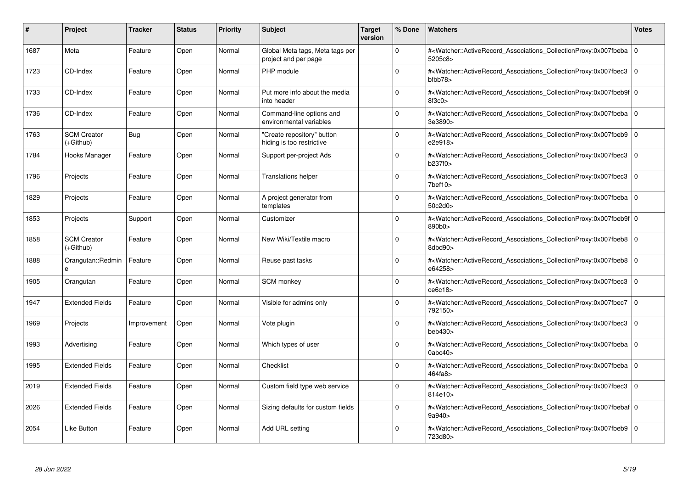| #    | Project                         | <b>Tracker</b> | <b>Status</b> | <b>Priority</b> | <b>Subject</b>                                          | <b>Target</b><br>version | % Done      | <b>Watchers</b>                                                                                                                                            | <b>Votes</b> |
|------|---------------------------------|----------------|---------------|-----------------|---------------------------------------------------------|--------------------------|-------------|------------------------------------------------------------------------------------------------------------------------------------------------------------|--------------|
| 1687 | Meta                            | Feature        | Open          | Normal          | Global Meta tags, Meta tags per<br>project and per page |                          | $\Omega$    | # <watcher::activerecord associations="" collectionproxy:0x007fbeba<br="">5205c8&gt;</watcher::activerecord>                                               | $\mathbf 0$  |
| 1723 | CD-Index                        | Feature        | Open          | Normal          | PHP module                                              |                          | $\Omega$    | # <watcher::activerecord_associations_collectionproxy:0x007fbec3 0<br=""  ="">bfbb78</watcher::activerecord_associations_collectionproxy:0x007fbec3>       |              |
| 1733 | CD-Index                        | Feature        | Open          | Normal          | Put more info about the media<br>into header            |                          | $\Omega$    | # <watcher::activerecord_associations_collectionproxy:0x007fbeb9f 0<br="">8f3c0</watcher::activerecord_associations_collectionproxy:0x007fbeb9f>           |              |
| 1736 | CD-Index                        | Feature        | Open          | Normal          | Command-line options and<br>environmental variables     |                          | $\Omega$    | # <watcher::activerecord 0<br="" associations="" collectionproxy:0x007fbeba=""  ="">3e3890&gt;</watcher::activerecord>                                     |              |
| 1763 | <b>SCM Creator</b><br>(+Github) | Bug            | Open          | Normal          | "Create repository" button<br>hiding is too restrictive |                          | $\Omega$    | # <watcher::activerecord associations="" collectionproxy:0x007fbeb9<br="">e2e918&gt;</watcher::activerecord>                                               | $\mathbf 0$  |
| 1784 | Hooks Manager                   | Feature        | Open          | Normal          | Support per-project Ads                                 |                          | $\Omega$    | # <watcher::activerecord associations="" collectionproxy:0x007fbec3<br="">b237f0&gt;</watcher::activerecord>                                               | $\mathbf 0$  |
| 1796 | Projects                        | Feature        | Open          | Normal          | <b>Translations helper</b>                              |                          | $\Omega$    | # <watcher::activerecord_associations_collectionproxy:0x007fbec3  <br="">7<sub>bef10</sub></watcher::activerecord_associations_collectionproxy:0x007fbec3> | $\Omega$     |
| 1829 | Projects                        | Feature        | Open          | Normal          | A project generator from<br>templates                   |                          | $\Omega$    | # <watcher::activerecord 0<br="" associations="" collectionproxy:0x007fbeba=""  ="">50c2d0&gt;</watcher::activerecord>                                     |              |
| 1853 | Projects                        | Support        | Open          | Normal          | Customizer                                              |                          | $\Omega$    | # <watcher::activerecord_associations_collectionproxy:0x007fbeb9f 0<br=""  ="">890b0&gt;</watcher::activerecord_associations_collectionproxy:0x007fbeb9f>  |              |
| 1858 | <b>SCM Creator</b><br>(+Github) | Feature        | Open          | Normal          | New Wiki/Textile macro                                  |                          | $\Omega$    | # <watcher::activerecord_associations_collectionproxy:0x007fbeb8 0<br=""  ="">8dbd90&gt;</watcher::activerecord_associations_collectionproxy:0x007fbeb8>   |              |
| 1888 | Orangutan::Redmin<br>e          | Feature        | Open          | Normal          | Reuse past tasks                                        |                          | $\Omega$    | # <watcher::activerecord 0<br="" associations="" collectionproxy:0x007fbeb8=""  ="">e64258&gt;</watcher::activerecord>                                     |              |
| 1905 | Orangutan                       | Feature        | Open          | Normal          | <b>SCM</b> monkey                                       |                          | $\Omega$    | # <watcher::activerecord associations="" collectionproxy:0x007fbec3=""  <br="">ce6c18</watcher::activerecord>                                              | $\Omega$     |
| 1947 | <b>Extended Fields</b>          | Feature        | Open          | Normal          | Visible for admins only                                 |                          | $\Omega$    | # <watcher::activerecord associations="" collectionproxy:0x007fbec7<br="">792150&gt;</watcher::activerecord>                                               | $\mathbf 0$  |
| 1969 | Projects                        | Improvement    | Open          | Normal          | Vote plugin                                             |                          | $\mathbf 0$ | # <watcher::activerecord_associations_collectionproxy:0x007fbec3<br>beb430&gt;</watcher::activerecord_associations_collectionproxy:0x007fbec3<br>          | $\mathbf 0$  |
| 1993 | Advertising                     | Feature        | Open          | Normal          | Which types of user                                     |                          | $\Omega$    | # <watcher::activerecord_associations_collectionproxy:0x007fbeba 0<br=""  ="">0abc40&gt;</watcher::activerecord_associations_collectionproxy:0x007fbeba>   |              |
| 1995 | <b>Extended Fields</b>          | Feature        | Open          | Normal          | Checklist                                               |                          | $\Omega$    | # <watcher::activerecord 0<br="" associations="" collectionproxy:0x007fbeba=""  ="">464fa8&gt;</watcher::activerecord>                                     |              |
| 2019 | <b>Extended Fields</b>          | Feature        | Open          | Normal          | Custom field type web service                           |                          | $\Omega$    | # <watcher::activerecord_associations_collectionproxy:0x007fbec3  <br="">814e10&gt;</watcher::activerecord_associations_collectionproxy:0x007fbec3>        | $\Omega$     |
| 2026 | <b>Extended Fields</b>          | Feature        | Open          | Normal          | Sizing defaults for custom fields                       |                          | $\Omega$    | # <watcher::activerecord 0<br="" associations="" collectionproxy:0x007fbebaf=""  ="">9a940&gt;</watcher::activerecord>                                     |              |
| 2054 | Like Button                     | Feature        | Open          | Normal          | Add URL setting                                         |                          | $\Omega$    | # <watcher::activerecord_associations_collectionproxy:0x007fbeb9 0<br="">723d80&gt;</watcher::activerecord_associations_collectionproxy:0x007fbeb9>        |              |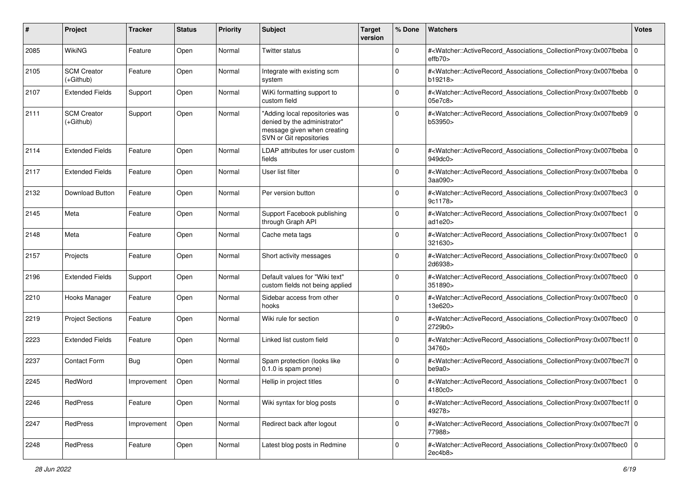| #    | Project                         | <b>Tracker</b> | <b>Status</b> | <b>Priority</b> | <b>Subject</b>                                                                                                           | <b>Target</b><br>version | % Done      | <b>Watchers</b>                                                                                                                                           | <b>Votes</b> |
|------|---------------------------------|----------------|---------------|-----------------|--------------------------------------------------------------------------------------------------------------------------|--------------------------|-------------|-----------------------------------------------------------------------------------------------------------------------------------------------------------|--------------|
| 2085 | WikiNG                          | Feature        | Open          | Normal          | Twitter status                                                                                                           |                          | 0           | # <watcher::activerecord_associations_collectionproxy:0x007fbeba  <br="">effb70</watcher::activerecord_associations_collectionproxy:0x007fbeba>           | l O          |
| 2105 | <b>SCM Creator</b><br>(+Github) | Feature        | Open          | Normal          | Integrate with existing scm<br>system                                                                                    |                          | $\Omega$    | # <watcher::activerecord_associations_collectionproxy:0x007fbeba 0<br=""  ="">b19218&gt;</watcher::activerecord_associations_collectionproxy:0x007fbeba>  |              |
| 2107 | <b>Extended Fields</b>          | Support        | Open          | Normal          | WiKi formatting support to<br>custom field                                                                               |                          | 0           | # <watcher::activerecord_associations_collectionproxy:0x007fbebb 0<br=""  ="">05e7c8&gt;</watcher::activerecord_associations_collectionproxy:0x007fbebb>  |              |
| 2111 | <b>SCM Creator</b><br>(+Github) | Support        | Open          | Normal          | "Adding local repositories was<br>denied by the administrator"<br>message given when creating<br>SVN or Git repositories |                          | $\Omega$    | # <watcher::activerecord associations="" collectionproxy:0x007fbeb9<br="">b53950&gt;</watcher::activerecord>                                              | l O          |
| 2114 | <b>Extended Fields</b>          | Feature        | Open          | Normal          | LDAP attributes for user custom<br>fields                                                                                |                          | 0           | # <watcher::activerecord_associations_collectionproxy:0x007fbeba 0<br=""  ="">949dc0&gt;</watcher::activerecord_associations_collectionproxy:0x007fbeba>  |              |
| 2117 | <b>Extended Fields</b>          | Feature        | Open          | Normal          | User list filter                                                                                                         |                          | 0           | # <watcher::activerecord_associations_collectionproxy:0x007fbeba<br>3aa090&gt;</watcher::activerecord_associations_collectionproxy:0x007fbeba<br>         | l O          |
| 2132 | Download Button                 | Feature        | Open          | Normal          | Per version button                                                                                                       |                          | 0           | # <watcher::activerecord_associations_collectionproxy:0x007fbec3<br>9c1178&gt;</watcher::activerecord_associations_collectionproxy:0x007fbec3<br>         | $\mathbf 0$  |
| 2145 | Meta                            | Feature        | Open          | Normal          | Support Facebook publishing<br>through Graph API                                                                         |                          | $\Omega$    | # <watcher::activerecord_associations_collectionproxy:0x007fbec1<br>ad1e20</watcher::activerecord_associations_collectionproxy:0x007fbec1<br>             | $\mathbf 0$  |
| 2148 | Meta                            | Feature        | Open          | Normal          | Cache meta tags                                                                                                          |                          | 0           | # <watcher::activerecord_associations_collectionproxy:0x007fbec1<br>321630&gt;</watcher::activerecord_associations_collectionproxy:0x007fbec1<br>         | $\mathbf 0$  |
| 2157 | Projects                        | Feature        | Open          | Normal          | Short activity messages                                                                                                  |                          | 0           | # <watcher::activerecord_associations_collectionproxy:0x007fbec0<br>2d6938&gt;</watcher::activerecord_associations_collectionproxy:0x007fbec0<br>         | $\mathbf 0$  |
| 2196 | <b>Extended Fields</b>          | Support        | Open          | Normal          | Default values for "Wiki text"<br>custom fields not being applied                                                        |                          | $\Omega$    | # <watcher::activerecord_associations_collectionproxy:0x007fbec0<br>351890&gt;</watcher::activerecord_associations_collectionproxy:0x007fbec0<br>         | $\mathbf 0$  |
| 2210 | Hooks Manager                   | Feature        | Open          | Normal          | Sidebar access from other<br>hooks                                                                                       |                          | $\Omega$    | # <watcher::activerecord_associations_collectionproxy:0x007fbec0<br>13e620&gt;</watcher::activerecord_associations_collectionproxy:0x007fbec0<br>         | $\mathbf 0$  |
| 2219 | <b>Project Sections</b>         | Feature        | Open          | Normal          | Wiki rule for section                                                                                                    |                          | 0           | # <watcher::activerecord_associations_collectionproxy:0x007fbec0<br>2729b0&gt;</watcher::activerecord_associations_collectionproxy:0x007fbec0<br>         | $\mathbf 0$  |
| 2223 | <b>Extended Fields</b>          | Feature        | Open          | Normal          | Linked list custom field                                                                                                 |                          | $\Omega$    | # <watcher::activerecord_associations_collectionproxy:0x007fbec1f 0<br=""  ="">34760&gt;</watcher::activerecord_associations_collectionproxy:0x007fbec1f> |              |
| 2237 | <b>Contact Form</b>             | <b>Bug</b>     | Open          | Normal          | Spam protection (looks like<br>0.1.0 is spam prone)                                                                      |                          | $\Omega$    | # <watcher::activerecord_associations_collectionproxy:0x007fbec7f 0<br="">be9a0&gt;</watcher::activerecord_associations_collectionproxy:0x007fbec7f>      |              |
| 2245 | RedWord                         | Improvement    | Open          | Normal          | Hellip in project titles                                                                                                 |                          | 0           | # <watcher::activerecord_associations_collectionproxy:0x007fbec1 0<br=""  ="">4180c0&gt;</watcher::activerecord_associations_collectionproxy:0x007fbec1>  |              |
| 2246 | RedPress                        | Feature        | Open          | Normal          | Wiki syntax for blog posts                                                                                               |                          | 0           | # <watcher::activerecord 0<br="" associations="" collectionproxy:0x007fbec1f="">49278&gt;</watcher::activerecord>                                         |              |
| 2247 | <b>RedPress</b>                 | Improvement    | Open          | Normal          | Redirect back after logout                                                                                               |                          | $\mathbf 0$ | # <watcher::activerecord_associations_collectionproxy:0x007fbec7f 0<br="">77988&gt;</watcher::activerecord_associations_collectionproxy:0x007fbec7f>      |              |
| 2248 | RedPress                        | Feature        | Open          | Normal          | Latest blog posts in Redmine                                                                                             |                          | 0           | # <watcher::activerecord 0<br="" associations="" collectionproxy:0x007fbec0="">2ec4b8&gt;</watcher::activerecord>                                         |              |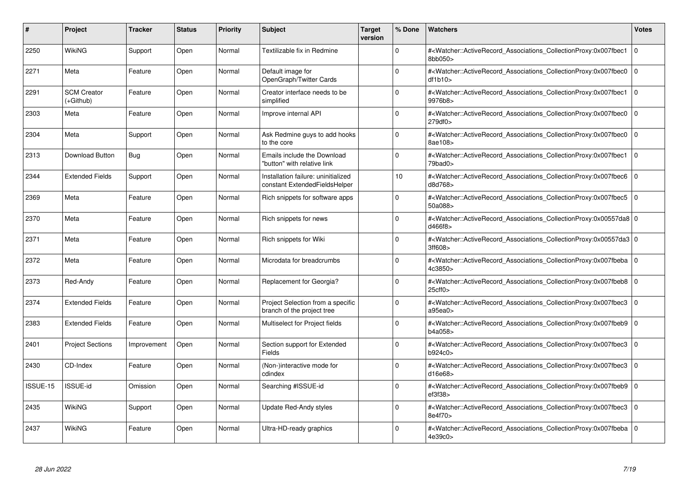| #        | Project                         | Tracker     | <b>Status</b> | <b>Priority</b> | <b>Subject</b>                                                       | <b>Target</b><br>version | % Done   | <b>Watchers</b>                                                                                                                                          | <b>Votes</b> |
|----------|---------------------------------|-------------|---------------|-----------------|----------------------------------------------------------------------|--------------------------|----------|----------------------------------------------------------------------------------------------------------------------------------------------------------|--------------|
| 2250     | WikiNG                          | Support     | Open          | Normal          | Textilizable fix in Redmine                                          |                          | $\Omega$ | # <watcher::activerecord_associations_collectionproxy:0x007fbec1<br>8bb050&gt;</watcher::activerecord_associations_collectionproxy:0x007fbec1<br>        | $\Omega$     |
| 2271     | Meta                            | Feature     | Open          | Normal          | Default image for<br>OpenGraph/Twitter Cards                         |                          | $\Omega$ | # <watcher::activerecord_associations_collectionproxy:0x007fbec0 0<br="">df1b10&gt;</watcher::activerecord_associations_collectionproxy:0x007fbec0>      |              |
| 2291     | <b>SCM Creator</b><br>(+Github) | Feature     | Open          | Normal          | Creator interface needs to be<br>simplified                          |                          | $\Omega$ | # <watcher::activerecord associations="" collectionproxy:0x007fbec1<br="">9976b8&gt;</watcher::activerecord>                                             | $\mathbf{0}$ |
| 2303     | Meta                            | Feature     | Open          | Normal          | Improve internal API                                                 |                          | $\Omega$ | # <watcher::activerecord_associations_collectionproxy:0x007fbec0 0<br=""  ="">279df0&gt;</watcher::activerecord_associations_collectionproxy:0x007fbec0> |              |
| 2304     | Meta                            | Support     | Open          | Normal          | Ask Redmine guys to add hooks<br>to the core                         |                          | $\Omega$ | # <watcher::activerecord associations="" collectionproxy:0x007fbec0<br="">8ae108&gt;</watcher::activerecord>                                             | $\mathbf 0$  |
| 2313     | Download Button                 | Bug         | Open          | Normal          | Emails include the Download<br>"button" with relative link           |                          | $\Omega$ | # <watcher::activerecord associations="" collectionproxy:0x007fbec1<br="">79bad0&gt;</watcher::activerecord>                                             | $\mathbf 0$  |
| 2344     | <b>Extended Fields</b>          | Support     | Open          | Normal          | Installation failure: uninitialized<br>constant ExtendedFieldsHelper |                          | 10       | # <watcher::activerecord_associations_collectionproxy:0x007fbec6<br>d8d768&gt;</watcher::activerecord_associations_collectionproxy:0x007fbec6<br>        | $\mathbf 0$  |
| 2369     | Meta                            | Feature     | Open          | Normal          | Rich snippets for software apps                                      |                          | $\Omega$ | # <watcher::activerecord_associations_collectionproxy:0x007fbec5  <br="">50a088&gt;</watcher::activerecord_associations_collectionproxy:0x007fbec5>      | $\Omega$     |
| 2370     | Meta                            | Feature     | Open          | Normal          | Rich snippets for news                                               |                          | $\Omega$ | # <watcher::activerecord 0<br="" associations="" collectionproxy:0x00557da8=""  ="">d466f8&gt;</watcher::activerecord>                                   |              |
| 2371     | Meta                            | Feature     | Open          | Normal          | Rich snippets for Wiki                                               |                          | $\Omega$ | # <watcher::activerecord 0<br="" associations="" collectionproxy:0x00557da3=""  ="">3ff608&gt;</watcher::activerecord>                                   |              |
| 2372     | Meta                            | Feature     | Open          | Normal          | Microdata for breadcrumbs                                            |                          | $\Omega$ | # <watcher::activerecord_associations_collectionproxy:0x007fbeba 0<br=""  ="">4c3850&gt;</watcher::activerecord_associations_collectionproxy:0x007fbeba> |              |
| 2373     | Red-Andy                        | Feature     | Open          | Normal          | Replacement for Georgia?                                             |                          | $\Omega$ | # <watcher::activerecord_associations_collectionproxy:0x007fbeb8 0<br=""  ="">25cff0</watcher::activerecord_associations_collectionproxy:0x007fbeb8>     |              |
| 2374     | <b>Extended Fields</b>          | Feature     | Open          | Normal          | Project Selection from a specific<br>branch of the project tree      |                          | $\Omega$ | # <watcher::activerecord associations="" collectionproxy:0x007fbec3<br="">a95ea0&gt;</watcher::activerecord>                                             | $\mathbf 0$  |
| 2383     | <b>Extended Fields</b>          | Feature     | Open          | Normal          | Multiselect for Project fields                                       |                          | $\Omega$ | # <watcher::activerecord_associations_collectionproxy:0x007fbeb9<br>b4a058&gt;</watcher::activerecord_associations_collectionproxy:0x007fbeb9<br>        | $\mathbf 0$  |
| 2401     | <b>Project Sections</b>         | Improvement | Open          | Normal          | Section support for Extended<br>Fields                               |                          | $\Omega$ | # <watcher::activerecord associations="" collectionproxy:0x007fbec3<br="">b924c0&gt;</watcher::activerecord>                                             | $\mathbf 0$  |
| 2430     | CD-Index                        | Feature     | Open          | Normal          | (Non-)interactive mode for<br>cdindex                                |                          | $\Omega$ | # <watcher::activerecord associations="" collectionproxy:0x007fbec3<br="">d16e68</watcher::activerecord>                                                 | $\mathbf 0$  |
| ISSUE-15 | <b>ISSUE-id</b>                 | Omission    | Open          | Normal          | Searching #ISSUE-id                                                  |                          | $\Omega$ | # <watcher::activerecord 0<br="" associations="" collectionproxy:0x007fbeb9=""  ="">ef3f38</watcher::activerecord>                                       |              |
| 2435     | WikiNG                          | Support     | Open          | Normal          | Update Red-Andy styles                                               |                          | $\Omega$ | # <watcher::activerecord_associations_collectionproxy:0x007fbec3<br>8e4f70&gt;</watcher::activerecord_associations_collectionproxy:0x007fbec3<br>        | $\mathbf 0$  |
| 2437     | WikiNG                          | Feature     | Open          | Normal          | Ultra-HD-ready graphics                                              |                          | $\Omega$ | # <watcher::activerecord_associations_collectionproxy:0x007fbeba 0<br=""  ="">4e39c0&gt;</watcher::activerecord_associations_collectionproxy:0x007fbeba> |              |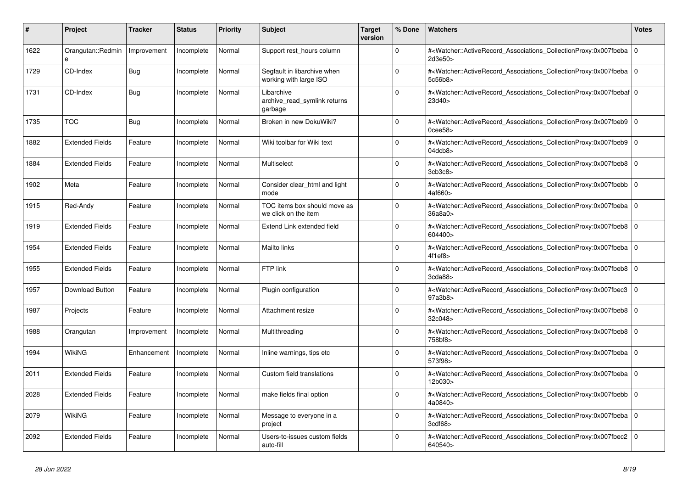| #    | <b>Project</b>         | Tracker     | <b>Status</b> | <b>Priority</b> | <b>Subject</b>                                        | <b>Target</b><br>version | % Done   | <b>Watchers</b>                                                                                                                                                                | <b>Votes</b> |
|------|------------------------|-------------|---------------|-----------------|-------------------------------------------------------|--------------------------|----------|--------------------------------------------------------------------------------------------------------------------------------------------------------------------------------|--------------|
| 1622 | Orangutan::Redmin<br>e | Improvement | Incomplete    | Normal          | Support rest hours column                             |                          | $\Omega$ | # <watcher::activerecord_associations_collectionproxy:0x007fbeba  <br="">2d3e50&gt;</watcher::activerecord_associations_collectionproxy:0x007fbeba>                            | $\mathbf 0$  |
| 1729 | CD-Index               | Bug         | Incomplete    | Normal          | Segfault in libarchive when<br>working with large ISO |                          | $\Omega$ | # <watcher::activerecord associations="" collectionproxy:0x007fbeba<br="">5c56b8&gt;</watcher::activerecord>                                                                   | $\mathbf 0$  |
| 1731 | CD-Index               | Bug         | Incomplete    | Normal          | Libarchive<br>archive read symlink returns<br>garbage |                          | $\Omega$ | # <watcher::activerecord 0<br="" associations="" collectionproxy:0x007fbebaf=""  ="">23d40&gt;</watcher::activerecord>                                                         |              |
| 1735 | <b>TOC</b>             | Bug         | Incomplete    | Normal          | Broken in new DokuWiki?                               |                          | $\Omega$ | # <watcher::activerecord_associations_collectionproxy:0x007fbeb9 0<br=""  =""><math>0</math>cee<math>58</math></watcher::activerecord_associations_collectionproxy:0x007fbeb9> |              |
| 1882 | <b>Extended Fields</b> | Feature     | Incomplete    | Normal          | Wiki toolbar for Wiki text                            |                          | $\Omega$ | # <watcher::activerecord associations="" collectionproxy:0x007fbeb9<br=""><math>04</math>dcb<math>8</math></watcher::activerecord>                                             | $\mathbf 0$  |
| 1884 | <b>Extended Fields</b> | Feature     | Incomplete    | Normal          | Multiselect                                           |                          | $\Omega$ | # <watcher::activerecord_associations_collectionproxy:0x007fbeb8 0<br=""  ="">3cb3c8</watcher::activerecord_associations_collectionproxy:0x007fbeb8>                           |              |
| 1902 | Meta                   | Feature     | Incomplete    | Normal          | Consider clear html and light<br>mode                 |                          | $\Omega$ | # <watcher::activerecord_associations_collectionproxy:0x007fbebb  <br="">4af660&gt;</watcher::activerecord_associations_collectionproxy:0x007fbebb>                            | $\mathbf 0$  |
| 1915 | Red-Andy               | Feature     | Incomplete    | Normal          | TOC items box should move as<br>we click on the item  |                          | $\Omega$ | # <watcher::activerecord_associations_collectionproxy:0x007fbeba 0<br=""  ="">36a8a0</watcher::activerecord_associations_collectionproxy:0x007fbeba>                           |              |
| 1919 | <b>Extended Fields</b> | Feature     | Incomplete    | Normal          | Extend Link extended field                            |                          | $\Omega$ | # <watcher::activerecord_associations_collectionproxy:0x007fbeb8 0<br=""  ="">604400&gt;</watcher::activerecord_associations_collectionproxy:0x007fbeb8>                       |              |
| 1954 | <b>Extended Fields</b> | Feature     | Incomplete    | Normal          | Mailto links                                          |                          | $\Omega$ | # <watcher::activerecord associations="" collectionproxy:0x007fbeba=""  <br="">4f1ef8</watcher::activerecord>                                                                  | $\mathbf 0$  |
| 1955 | <b>Extended Fields</b> | Feature     | Incomplete    | Normal          | FTP link                                              |                          | $\Omega$ | # <watcher::activerecord associations="" collectionproxy:0x007fbeb8<br="">3cda88</watcher::activerecord>                                                                       | $\mathbf 0$  |
| 1957 | Download Button        | Feature     | Incomplete    | Normal          | Plugin configuration                                  |                          | $\Omega$ | # <watcher::activerecord associations="" collectionproxy:0x007fbec3<br="">97a3b8&gt;</watcher::activerecord>                                                                   | $\mathbf 0$  |
| 1987 | Projects               | Feature     | Incomplete    | Normal          | Attachment resize                                     |                          | $\Omega$ | # <watcher::activerecord_associations_collectionproxy:0x007fbeb8  <br="">32c048&gt;</watcher::activerecord_associations_collectionproxy:0x007fbeb8>                            | $\Omega$     |
| 1988 | Orangutan              | Improvement | Incomplete    | Normal          | Multithreading                                        |                          | $\Omega$ | # <watcher::activerecord_associations_collectionproxy:0x007fbeb8 0<br="">758bf8&gt;</watcher::activerecord_associations_collectionproxy:0x007fbeb8>                            |              |
| 1994 | <b>WikiNG</b>          | Enhancement | Incomplete    | Normal          | Inline warnings, tips etc                             |                          | $\Omega$ | # <watcher::activerecord associations="" collectionproxy:0x007fbeba<br="">573f98&gt;</watcher::activerecord>                                                                   | $\mathbf 0$  |
| 2011 | <b>Extended Fields</b> | Feature     | Incomplete    | Normal          | Custom field translations                             |                          | $\Omega$ | # <watcher::activerecord_associations_collectionproxy:0x007fbeba<br>12b030&gt;</watcher::activerecord_associations_collectionproxy:0x007fbeba<br>                              | $\Omega$     |
| 2028 | <b>Extended Fields</b> | Feature     | Incomplete    | Normal          | make fields final option                              |                          | $\Omega$ | # <watcher::activerecord associations="" collectionproxy:0x007fbebb=""  <br="">4a0840&gt;</watcher::activerecord>                                                              | $\mathbf 0$  |
| 2079 | WikiNG                 | Feature     | Incomplete    | Normal          | Message to everyone in a<br>project                   |                          | $\Omega$ | # <watcher::activerecord_associations_collectionproxy:0x007fbeba  <br="">3cdf68&gt;</watcher::activerecord_associations_collectionproxy:0x007fbeba>                            | $\mathbf 0$  |
| 2092 | <b>Extended Fields</b> | Feature     | Incomplete    | Normal          | Users-to-issues custom fields<br>auto-fill            |                          | $\Omega$ | # <watcher::activerecord_associations_collectionproxy:0x007fbec2<br>640540&gt;</watcher::activerecord_associations_collectionproxy:0x007fbec2<br>                              | $\mathbf 0$  |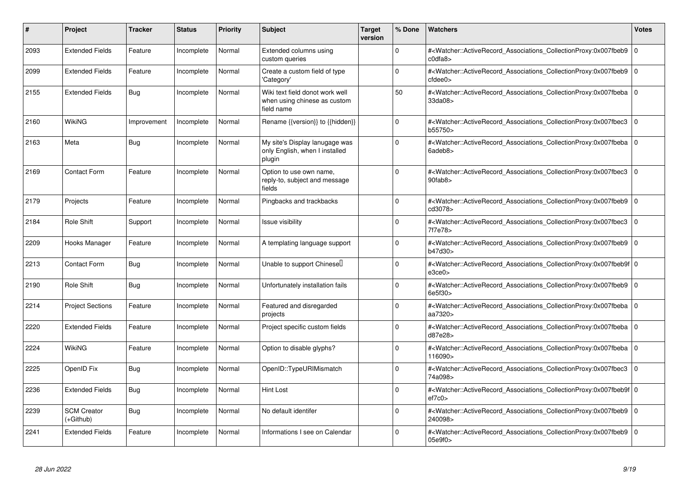| #    | Project                         | Tracker     | <b>Status</b> | <b>Priority</b> | <b>Subject</b>                                                                | <b>Target</b><br>version | % Done      | <b>Watchers</b>                                                                                                                                          | <b>Votes</b>   |
|------|---------------------------------|-------------|---------------|-----------------|-------------------------------------------------------------------------------|--------------------------|-------------|----------------------------------------------------------------------------------------------------------------------------------------------------------|----------------|
| 2093 | <b>Extended Fields</b>          | Feature     | Incomplete    | Normal          | Extended columns using<br>custom queries                                      |                          | $\Omega$    | # <watcher::activerecord associations="" collectionproxy:0x007fbeb9<br="">cdfa8</watcher::activerecord>                                                  | $\mathbf 0$    |
| 2099 | <b>Extended Fields</b>          | Feature     | Incomplete    | Normal          | Create a custom field of type<br>'Category'                                   |                          | $\Omega$    | # <watcher::activerecord 0<br="" associations="" collectionproxy:0x007fbeb9=""  =""><math>c</math>fdee<math>0</math></watcher::activerecord>             |                |
| 2155 | <b>Extended Fields</b>          | Bug         | Incomplete    | Normal          | Wiki text field donot work well<br>when using chinese as custom<br>field name |                          | 50          | # <watcher::activerecord 0<br="" associations="" collectionproxy:0x007fbeba=""  ="">33da08&gt;</watcher::activerecord>                                   |                |
| 2160 | WikiNG                          | Improvement | Incomplete    | Normal          | Rename {{version}} to {{hidden}}                                              |                          | $\mathbf 0$ | # <watcher::activerecord associations="" collectionproxy:0x007fbec3<br="">b55750&gt;</watcher::activerecord>                                             | $\Omega$       |
| 2163 | Meta                            | <b>Bug</b>  | Incomplete    | Normal          | My site's Display lanugage was<br>only English, when I installed<br>plugin    |                          | $\Omega$    | # <watcher::activerecord 0<br="" associations="" collectionproxy:0x007fbeba=""  ="">6adeb8&gt;</watcher::activerecord>                                   |                |
| 2169 | Contact Form                    | Feature     | Incomplete    | Normal          | Option to use own name,<br>reply-to, subject and message<br>fields            |                          | $\Omega$    | # <watcher::activerecord associations="" collectionproxy:0x007fbec3<br=""><math>90</math>fab<math>8</math></watcher::activerecord>                       | $\overline{0}$ |
| 2179 | Projects                        | Feature     | Incomplete    | Normal          | Pingbacks and trackbacks                                                      |                          | $\mathbf 0$ | # <watcher::activerecord associations="" collectionproxy:0x007fbeb9<br="">cd3078&gt;</watcher::activerecord>                                             | $\overline{0}$ |
| 2184 | Role Shift                      | Support     | Incomplete    | Normal          | Issue visibility                                                              |                          | $\Omega$    | # <watcher::activerecord_associations_collectionproxy:0x007fbec3<br>7f7e78&gt;</watcher::activerecord_associations_collectionproxy:0x007fbec3<br>        | l 0            |
| 2209 | Hooks Manager                   | Feature     | Incomplete    | Normal          | A templating language support                                                 |                          | $\Omega$    | # <watcher::activerecord_associations_collectionproxy:0x007fbeb9<br>b47d30&gt;</watcher::activerecord_associations_collectionproxy:0x007fbeb9<br>        | $\Omega$       |
| 2213 | <b>Contact Form</b>             | <b>Bug</b>  | Incomplete    | Normal          | Unable to support Chinesel                                                    |                          | $\Omega$    | # <watcher::activerecord_associations_collectionproxy:0x007fbeb9f 0<br=""  ="">e3ce0</watcher::activerecord_associations_collectionproxy:0x007fbeb9f>    |                |
| 2190 | <b>Role Shift</b>               | Bug         | Incomplete    | Normal          | Unfortunately installation fails                                              |                          | $\Omega$    | # <watcher::activerecord_associations_collectionproxy:0x007fbeb9 0<br=""  ="">6e5f30&gt;</watcher::activerecord_associations_collectionproxy:0x007fbeb9> |                |
| 2214 | <b>Project Sections</b>         | Feature     | Incomplete    | Normal          | Featured and disregarded<br>projects                                          |                          | $\Omega$    | # <watcher::activerecord_associations_collectionproxy:0x007fbeba 0<br=""  ="">aa7320&gt;</watcher::activerecord_associations_collectionproxy:0x007fbeba> |                |
| 2220 | <b>Extended Fields</b>          | Feature     | Incomplete    | Normal          | Project specific custom fields                                                |                          | $\mathbf 0$ | # <watcher::activerecord_associations_collectionproxy:0x007fbeba 0<br=""  ="">d87e28&gt;</watcher::activerecord_associations_collectionproxy:0x007fbeba> |                |
| 2224 | WikiNG                          | Feature     | Incomplete    | Normal          | Option to disable glyphs?                                                     |                          | $\Omega$    | # <watcher::activerecord associations="" collectionproxy:0x007fbeba<br="">116090&gt;</watcher::activerecord>                                             | l 0            |
| 2225 | OpenID Fix                      | Bug         | Incomplete    | Normal          | OpenID::TypeURIMismatch                                                       |                          | $\Omega$    | # <watcher::activerecord associations="" collectionproxy:0x007fbec3<br="">74a098&gt;</watcher::activerecord>                                             | l O            |
| 2236 | <b>Extended Fields</b>          | Bug         | Incomplete    | Normal          | <b>Hint Lost</b>                                                              |                          | $\Omega$    | # <watcher::activerecord_associations_collectionproxy:0x007fbeb9f 0<br=""  ="">ef7c0</watcher::activerecord_associations_collectionproxy:0x007fbeb9f>    |                |
| 2239 | <b>SCM Creator</b><br>(+Github) | Bug         | Incomplete    | Normal          | No default identifer                                                          |                          | $\Omega$    | # <watcher::activerecord_associations_collectionproxy:0x007fbeb9 0<br=""  ="">240098&gt;</watcher::activerecord_associations_collectionproxy:0x007fbeb9> |                |
| 2241 | <b>Extended Fields</b>          | Feature     | Incomplete    | Normal          | Informations I see on Calendar                                                |                          | $\Omega$    | # <watcher::activerecord_associations_collectionproxy:0x007fbeb9 0<br=""  ="">05e9f0&gt;</watcher::activerecord_associations_collectionproxy:0x007fbeb9> |                |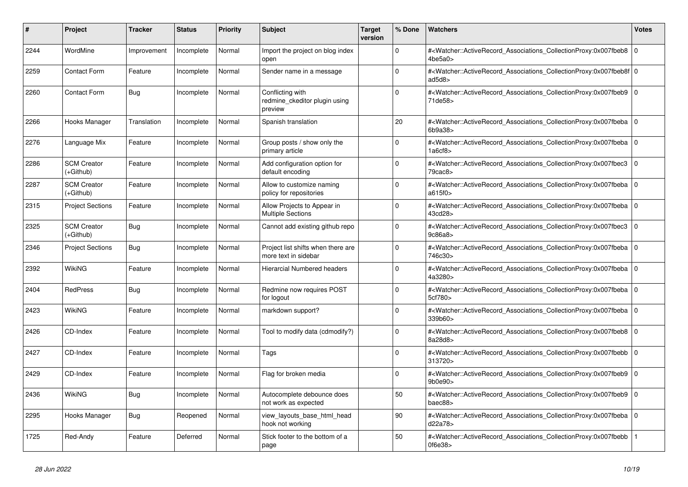| #    | Project                         | Tracker     | <b>Status</b> | <b>Priority</b> | <b>Subject</b>                                               | <b>Target</b><br>version | % Done   | <b>Watchers</b>                                                                                                                                                    | <b>Votes</b> |
|------|---------------------------------|-------------|---------------|-----------------|--------------------------------------------------------------|--------------------------|----------|--------------------------------------------------------------------------------------------------------------------------------------------------------------------|--------------|
| 2244 | WordMine                        | Improvement | Incomplete    | Normal          | Import the project on blog index<br>open                     |                          | $\Omega$ | # <watcher::activerecord 0<br="" associations="" collectionproxy:0x007fbeb8=""  ="">4be5a0&gt;</watcher::activerecord>                                             |              |
| 2259 | <b>Contact Form</b>             | Feature     | Incomplete    | Normal          | Sender name in a message                                     |                          | $\Omega$ | # <watcher::activerecord_associations_collectionproxy:0x007fbeb8f 0<br=""  ="">ad<math>5d8</math></watcher::activerecord_associations_collectionproxy:0x007fbeb8f> |              |
| 2260 | <b>Contact Form</b>             | Bug         | Incomplete    | Normal          | Conflicting with<br>redmine ckeditor plugin using<br>preview |                          | $\Omega$ | # <watcher::activerecord_associations_collectionproxy:0x007fbeb9 0<br=""  ="">71de58&gt;</watcher::activerecord_associations_collectionproxy:0x007fbeb9>           |              |
| 2266 | Hooks Manager                   | Translation | Incomplete    | Normal          | Spanish translation                                          |                          | 20       | # <watcher::activerecord_associations_collectionproxy:0x007fbeba 0<br=""  ="">6b9a38</watcher::activerecord_associations_collectionproxy:0x007fbeba>               |              |
| 2276 | Language Mix                    | Feature     | Incomplete    | Normal          | Group posts / show only the<br>primary article               |                          | $\Omega$ | # <watcher::activerecord associations="" collectionproxy:0x007fbeba<br="">1a6cf8</watcher::activerecord>                                                           | $\mathbf 0$  |
| 2286 | <b>SCM Creator</b><br>(+Github) | Feature     | Incomplete    | Normal          | Add configuration option for<br>default encoding             |                          | $\Omega$ | # <watcher::activerecord_associations_collectionproxy:0x007fbec3 0<br=""  ="">79cac8</watcher::activerecord_associations_collectionproxy:0x007fbec3>               |              |
| 2287 | <b>SCM Creator</b><br>(+Github) | Feature     | Incomplete    | Normal          | Allow to customize naming<br>policy for repositories         |                          | $\Omega$ | # <watcher::activerecord 0<br="" associations="" collectionproxy:0x007fbeba=""  ="">a615f0&gt;</watcher::activerecord>                                             |              |
| 2315 | <b>Project Sections</b>         | Feature     | Incomplete    | Normal          | Allow Projects to Appear in<br><b>Multiple Sections</b>      |                          | $\Omega$ | # <watcher::activerecord 0<br="" associations="" collectionproxy:0x007fbeba=""  ="">43cd28&gt;</watcher::activerecord>                                             |              |
| 2325 | <b>SCM Creator</b><br>(+Github) | Bug         | Incomplete    | Normal          | Cannot add existing github repo                              |                          | $\Omega$ | # <watcher::activerecord_associations_collectionproxy:0x007fbec3  <br="">9c86a8</watcher::activerecord_associations_collectionproxy:0x007fbec3>                    | $\Omega$     |
| 2346 | <b>Project Sections</b>         | <b>Bug</b>  | Incomplete    | Normal          | Project list shifts when there are<br>more text in sidebar   |                          | $\Omega$ | # <watcher::activerecord_associations_collectionproxy:0x007fbeba 0<br=""  ="">746c30&gt;</watcher::activerecord_associations_collectionproxy:0x007fbeba>           |              |
| 2392 | <b>WikiNG</b>                   | Feature     | Incomplete    | Normal          | <b>Hierarcial Numbered headers</b>                           |                          | $\Omega$ | # <watcher::activerecord_associations_collectionproxy:0x007fbeba  <br="">4a3280&gt;</watcher::activerecord_associations_collectionproxy:0x007fbeba>                | $\Omega$     |
| 2404 | <b>RedPress</b>                 | <b>Bug</b>  | Incomplete    | Normal          | Redmine now requires POST<br>for logout                      |                          | $\Omega$ | # <watcher::activerecord 0<br="" associations="" collectionproxy:0x007fbeba=""  ="">5cf780&gt;</watcher::activerecord>                                             |              |
| 2423 | <b>WikiNG</b>                   | Feature     | Incomplete    | Normal          | markdown support?                                            |                          | $\Omega$ | # <watcher::activerecord_associations_collectionproxy:0x007fbeba<br>339b60&gt;</watcher::activerecord_associations_collectionproxy:0x007fbeba<br>                  | $\mathbf 0$  |
| 2426 | CD-Index                        | Feature     | Incomplete    | Normal          | Tool to modify data (cdmodify?)                              |                          | $\Omega$ | # <watcher::activerecord_associations_collectionproxy:0x007fbeb8 0<br="">8a28d8&gt;</watcher::activerecord_associations_collectionproxy:0x007fbeb8>                |              |
| 2427 | CD-Index                        | Feature     | Incomplete    | Normal          | Tags                                                         |                          | $\Omega$ | # <watcher::activerecord_associations_collectionproxy:0x007fbebb 0<br=""  ="">313720&gt;</watcher::activerecord_associations_collectionproxy:0x007fbebb>           |              |
| 2429 | CD-Index                        | Feature     | Incomplete    | Normal          | Flag for broken media                                        |                          | $\Omega$ | # <watcher::activerecord_associations_collectionproxy:0x007fbeb9<br>9b0e90&gt;</watcher::activerecord_associations_collectionproxy:0x007fbeb9<br>                  | $\Omega$     |
| 2436 | WikiNG                          | <b>Bug</b>  | Incomplete    | Normal          | Autocomplete debounce does<br>not work as expected           |                          | 50       | # <watcher::activerecord associations="" collectionproxy:0x007fbeb9=""  <br="">baec88&gt;</watcher::activerecord>                                                  | $\Omega$     |
| 2295 | Hooks Manager                   | Bug         | Reopened      | Normal          | view layouts base html head<br>hook not working              |                          | 90       | # <watcher::activerecord_associations_collectionproxy:0x007fbeba  <br="">d22a78&gt;</watcher::activerecord_associations_collectionproxy:0x007fbeba>                | $\mathbf 0$  |
| 1725 | Red-Andy                        | Feature     | Deferred      | Normal          | Stick footer to the bottom of a<br>page                      |                          | 50       | # <watcher::activerecord_associations_collectionproxy:0x007fbebb<br>0f6e38</watcher::activerecord_associations_collectionproxy:0x007fbebb<br>                      |              |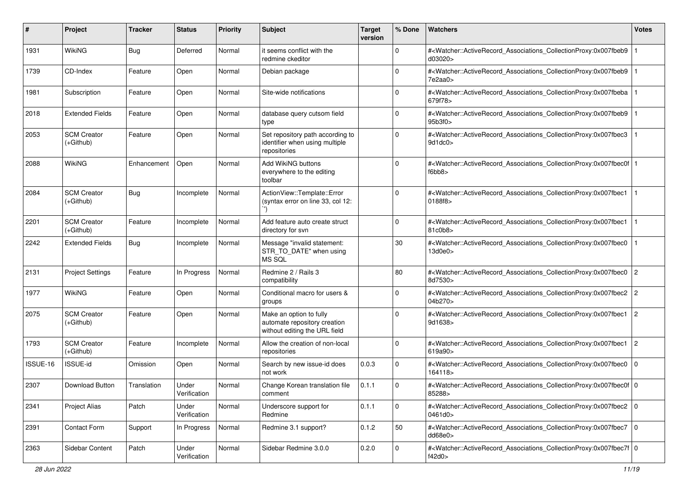| #        | Project                           | <b>Tracker</b> | <b>Status</b>         | <b>Priority</b> | Subject                                                                                  | <b>Target</b><br>version | % Done      | Watchers                                                                                                                                                  | <b>Votes</b>   |
|----------|-----------------------------------|----------------|-----------------------|-----------------|------------------------------------------------------------------------------------------|--------------------------|-------------|-----------------------------------------------------------------------------------------------------------------------------------------------------------|----------------|
| 1931     | WikiNG                            | Bug            | Deferred              | Normal          | it seems conflict with the<br>redmine ckeditor                                           |                          | $\mathbf 0$ | # <watcher::activerecord_associations_collectionproxy:0x007fbeb9<br>d03020&gt;</watcher::activerecord_associations_collectionproxy:0x007fbeb9<br>         |                |
| 1739     | CD-Index                          | Feature        | Open                  | Normal          | Debian package                                                                           |                          | $\Omega$    | # <watcher::activerecord_associations_collectionproxy:0x007fbeb9<br>7e2aa0</watcher::activerecord_associations_collectionproxy:0x007fbeb9<br>             |                |
| 1981     | Subscription                      | Feature        | Open                  | Normal          | Site-wide notifications                                                                  |                          | 0           | # <watcher::activerecord_associations_collectionproxy:0x007fbeba<br>679f78&gt;</watcher::activerecord_associations_collectionproxy:0x007fbeba<br>         |                |
| 2018     | <b>Extended Fields</b>            | Feature        | Open                  | Normal          | database query cutsom field<br>type                                                      |                          | 0           | # <watcher::activerecord_associations_collectionproxy:0x007fbeb9<br>95b3f0&gt;</watcher::activerecord_associations_collectionproxy:0x007fbeb9<br>         |                |
| 2053     | <b>SCM Creator</b><br>$(+Github)$ | Feature        | Open                  | Normal          | Set repository path according to<br>identifier when using multiple<br>repositories       |                          | $\Omega$    | # <watcher::activerecord_associations_collectionproxy:0x007fbec3<br>9d1dc0</watcher::activerecord_associations_collectionproxy:0x007fbec3<br>             |                |
| 2088     | <b>WikiNG</b>                     | Enhancement    | Open                  | Normal          | <b>Add WikiNG buttons</b><br>everywhere to the editing<br>toolbar                        |                          | $\Omega$    | # <watcher::activerecord_associations_collectionproxy:0x007fbec0f 1<br=""  ="">f6bb8</watcher::activerecord_associations_collectionproxy:0x007fbec0f>     |                |
| 2084     | <b>SCM Creator</b><br>$(+Github)$ | <b>Bug</b>     | Incomplete            | Normal          | ActionView::Template::Error<br>(syntax error on line 33, col 12:                         |                          | $\Omega$    | # <watcher::activerecord_associations_collectionproxy:0x007fbec1<br>0188f8&gt;</watcher::activerecord_associations_collectionproxy:0x007fbec1<br>         |                |
| 2201     | <b>SCM Creator</b><br>(+Github)   | Feature        | Incomplete            | Normal          | Add feature auto create struct<br>directory for svn                                      |                          | $\mathbf 0$ | # <watcher::activerecord associations="" collectionproxy:0x007fbec1<br="">81c0b8&gt;</watcher::activerecord>                                              |                |
| 2242     | <b>Extended Fields</b>            | <b>Bug</b>     | Incomplete            | Normal          | Message "invalid statement:<br>STR TO DATE" when using<br>MS SQL                         |                          | $30\,$      | # <watcher::activerecord_associations_collectionproxy:0x007fbec0<br>13d0e0&gt;</watcher::activerecord_associations_collectionproxy:0x007fbec0<br>         |                |
| 2131     | <b>Project Settings</b>           | Feature        | In Progress           | Normal          | Redmine 2 / Rails 3<br>compatibility                                                     |                          | 80          | # <watcher::activerecord_associations_collectionproxy:0x007fbec0<br>8d7530&gt;</watcher::activerecord_associations_collectionproxy:0x007fbec0<br>         | $\overline{2}$ |
| 1977     | WikiNG                            | Feature        | Open                  | Normal          | Conditional macro for users &<br>groups                                                  |                          | $\Omega$    | # <watcher::activerecord_associations_collectionproxy:0x007fbec2<br>04b270&gt;</watcher::activerecord_associations_collectionproxy:0x007fbec2<br>         | 2              |
| 2075     | <b>SCM Creator</b><br>$(+Github)$ | Feature        | Open                  | Normal          | Make an option to fully<br>automate repository creation<br>without editing the URL field |                          | $\mathbf 0$ | # <watcher::activerecord_associations_collectionproxy:0x007fbec1<br>9d1638&gt;</watcher::activerecord_associations_collectionproxy:0x007fbec1<br>         | $\overline{2}$ |
| 1793     | <b>SCM Creator</b><br>$(+Github)$ | Feature        | Incomplete            | Normal          | Allow the creation of non-local<br>repositories                                          |                          | $\mathbf 0$ | # <watcher::activerecord_associations_collectionproxy:0x007fbec1<br>619a90&gt;</watcher::activerecord_associations_collectionproxy:0x007fbec1<br>         | $\overline{2}$ |
| ISSUE-16 | ISSUE-id                          | Omission       | Open                  | Normal          | Search by new issue-id does<br>not work                                                  | 0.0.3                    | $\mathbf 0$ | # <watcher::activerecord_associations_collectionproxy:0x007fbec0<br>164118&gt;</watcher::activerecord_associations_collectionproxy:0x007fbec0<br>         | l O            |
| 2307     | <b>Download Button</b>            | Translation    | Under<br>Verification | Normal          | Change Korean translation file<br>comment                                                | 0.1.1                    | $\mathbf 0$ | # <watcher::activerecord_associations_collectionproxy:0x007fbec0f 0<br=""  ="">85288&gt;</watcher::activerecord_associations_collectionproxy:0x007fbec0f> |                |
| 2341     | <b>Project Alias</b>              | Patch          | Under<br>Verification | Normal          | Underscore support for<br>Redmine                                                        | 0.1.1                    | 0           | # <watcher::activerecord_associations_collectionproxy:0x007fbec2 0<br=""  ="">0461d0&gt;</watcher::activerecord_associations_collectionproxy:0x007fbec2>  |                |
| 2391     | Contact Form                      | Support        | In Progress           | Normal          | Redmine 3.1 support?                                                                     | 0.1.2                    | 50          | # <watcher::activerecord_associations_collectionproxy:0x007fbec7<br>dd68e0</watcher::activerecord_associations_collectionproxy:0x007fbec7<br>             | $\overline{0}$ |
| 2363     | Sidebar Content                   | Patch          | Under<br>Verification | Normal          | Sidebar Redmine 3.0.0                                                                    | 0.2.0                    | $\mathbf 0$ | # <watcher::activerecord_associations_collectionproxy:0x007fbec7f 0<br=""  ="">f42d0</watcher::activerecord_associations_collectionproxy:0x007fbec7f>     |                |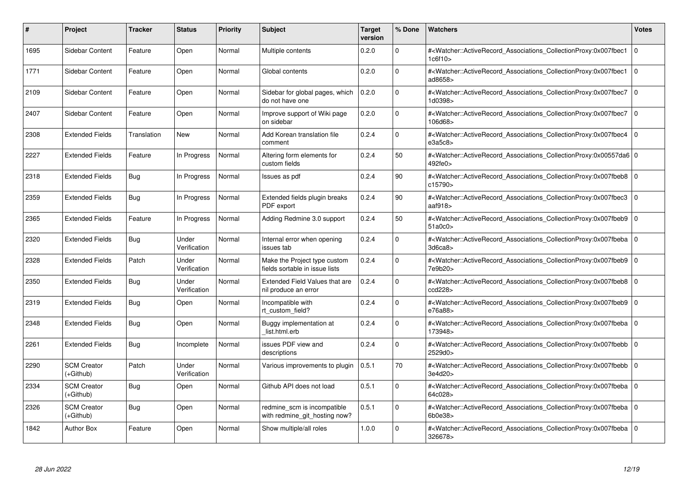| #    | Project                         | Tracker     | <b>Status</b>         | <b>Priority</b> | <b>Subject</b>                                                 | <b>Target</b><br>version | % Done      | <b>Watchers</b>                                                                                                                                          | <b>Votes</b>   |
|------|---------------------------------|-------------|-----------------------|-----------------|----------------------------------------------------------------|--------------------------|-------------|----------------------------------------------------------------------------------------------------------------------------------------------------------|----------------|
| 1695 | Sidebar Content                 | Feature     | Open                  | Normal          | Multiple contents                                              | 0.2.0                    | $\Omega$    | # <watcher::activerecord associations="" collectionproxy:0x007fbec1<br="">1c6f10&gt;</watcher::activerecord>                                             | $\Omega$       |
| 1771 | Sidebar Content                 | Feature     | Open                  | Normal          | Global contents                                                | 0.2.0                    | $\Omega$    | # <watcher::activerecord associations="" collectionproxy:0x007fbec1<br="">ad8658&gt;</watcher::activerecord>                                             | l O            |
| 2109 | Sidebar Content                 | Feature     | Open                  | Normal          | Sidebar for global pages, which<br>do not have one             | 0.2.0                    | $\mathbf 0$ | # <watcher::activerecord_associations_collectionproxy:0x007fbec7<br>1d0398&gt;</watcher::activerecord_associations_collectionproxy:0x007fbec7<br>        | $\mathbf 0$    |
| 2407 | Sidebar Content                 | Feature     | Open                  | Normal          | Improve support of Wiki page<br>on sidebar                     | 0.2.0                    | $\Omega$    | # <watcher::activerecord_associations_collectionproxy:0x007fbec7<br>106d68&gt;</watcher::activerecord_associations_collectionproxy:0x007fbec7<br>        | l O            |
| 2308 | <b>Extended Fields</b>          | Translation | <b>New</b>            | Normal          | Add Korean translation file<br>comment                         | 0.2.4                    | $\Omega$    | # <watcher::activerecord associations="" collectionproxy:0x007fbec4<br="">e3a5c8</watcher::activerecord>                                                 | l 0            |
| 2227 | <b>Extended Fields</b>          | Feature     | In Progress           | Normal          | Altering form elements for<br>custom fields                    | 0.2.4                    | 50          | # <watcher::activerecord 0<br="" associations="" collectionproxy:0x00557da6="">492fe0&gt;</watcher::activerecord>                                        |                |
| 2318 | <b>Extended Fields</b>          | <b>Bug</b>  | In Progress           | Normal          | Issues as pdf                                                  | 0.2.4                    | 90          | # <watcher::activerecord_associations_collectionproxy:0x007fbeb8 0<br="">c15790&gt;</watcher::activerecord_associations_collectionproxy:0x007fbeb8>      |                |
| 2359 | <b>Extended Fields</b>          | Bug         | In Progress           | Normal          | Extended fields plugin breaks<br>PDF export                    | 0.2.4                    | 90          | # <watcher::activerecord associations="" collectionproxy:0x007fbec3<br="">aaf<math>918</math></watcher::activerecord>                                    | $\overline{0}$ |
| 2365 | <b>Extended Fields</b>          | Feature     | In Progress           | Normal          | Adding Redmine 3.0 support                                     | 0.2.4                    | 50          | # <watcher::activerecord 0<br="" associations="" collectionproxy:0x007fbeb9=""  ="">51a0c0&gt;</watcher::activerecord>                                   |                |
| 2320 | <b>Extended Fields</b>          | Bug         | Under<br>Verification | Normal          | Internal error when opening<br>issues tab                      | 0.2.4                    | $\mathbf 0$ | # <watcher::activerecord 0<br="" associations="" collectionproxy:0x007fbeba=""  ="">3d6ca8</watcher::activerecord>                                       |                |
| 2328 | <b>Extended Fields</b>          | Patch       | Under<br>Verification | Normal          | Make the Project type custom<br>fields sortable in issue lists | 0.2.4                    | $\Omega$    | # <watcher::activerecord_associations_collectionproxy:0x007fbeb9 0<br="">7e9b20&gt;</watcher::activerecord_associations_collectionproxy:0x007fbeb9>      |                |
| 2350 | <b>Extended Fields</b>          | Bug         | Under<br>Verification | Normal          | Extended Field Values that are<br>nil produce an error         | 0.2.4                    | $\Omega$    | # <watcher::activerecord_associations_collectionproxy:0x007fbeb8 0<br="">ccd228&gt;</watcher::activerecord_associations_collectionproxy:0x007fbeb8>      |                |
| 2319 | <b>Extended Fields</b>          | Bug         | Open                  | Normal          | Incompatible with<br>rt custom field?                          | 0.2.4                    | 0           | # <watcher::activerecord 0<br="" associations="" collectionproxy:0x007fbeb9=""  ="">e76a88&gt;</watcher::activerecord>                                   |                |
| 2348 | <b>Extended Fields</b>          | Bug         | Open                  | Normal          | Buggy implementation at<br>list.html.erb                       | 0.2.4                    | $\mathbf 0$ | # <watcher::activerecord_associations_collectionproxy:0x007fbeba 0<br=""  ="">173948&gt;</watcher::activerecord_associations_collectionproxy:0x007fbeba> |                |
| 2261 | <b>Extended Fields</b>          | <b>Bug</b>  | Incomplete            | Normal          | issues PDF view and<br>descriptions                            | 0.2.4                    | $\Omega$    | # <watcher::activerecord 0<br="" associations="" collectionproxy:0x007fbebb=""  ="">2529d0&gt;</watcher::activerecord>                                   |                |
| 2290 | <b>SCM Creator</b><br>(+Github) | Patch       | Under<br>Verification | Normal          | Various improvements to plugin                                 | 0.5.1                    | 70          | # <watcher::activerecord associations="" collectionproxy:0x007fbebb<br="">3e4d20&gt;</watcher::activerecord>                                             | $\Omega$       |
| 2334 | <b>SCM Creator</b><br>(+Github) | Bug         | Open                  | Normal          | Github API does not load                                       | 0.5.1                    | $\mathbf 0$ | # <watcher::activerecord 0<br="" associations="" collectionproxy:0x007fbeba=""  ="">64c028&gt;</watcher::activerecord>                                   |                |
| 2326 | <b>SCM Creator</b><br>(+Github) | Bug         | Open                  | Normal          | redmine scm is incompatible<br>with redmine git hosting now?   | 0.5.1                    | $\mathbf 0$ | # <watcher::activerecord associations="" collectionproxy:0x007fbeba<br="">6b0e38&gt;</watcher::activerecord>                                             | $\overline{0}$ |
| 1842 | <b>Author Box</b>               | Feature     | Open                  | Normal          | Show multiple/all roles                                        | 1.0.0                    | $\Omega$    | # <watcher::activerecord_associations_collectionproxy:0x007fbeba 0<br=""  ="">326678&gt;</watcher::activerecord_associations_collectionproxy:0x007fbeba> |                |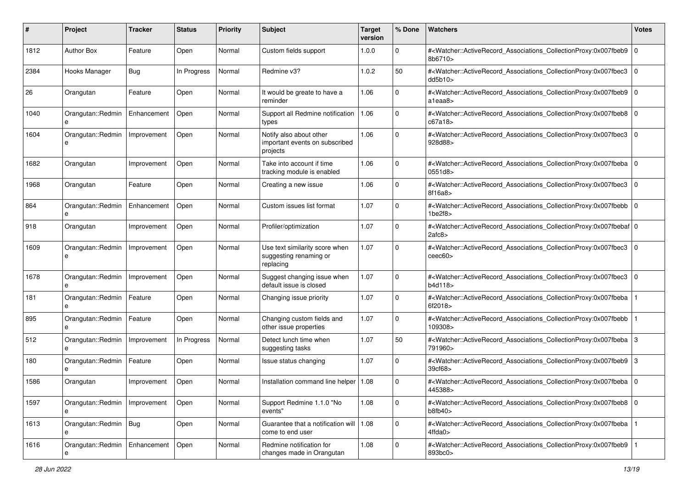| #    | Project                      | <b>Tracker</b> | <b>Status</b> | <b>Priority</b> | <b>Subject</b>                                                        | <b>Target</b><br>version | % Done      | <b>Watchers</b>                                                                                                                                          | <b>Votes</b> |
|------|------------------------------|----------------|---------------|-----------------|-----------------------------------------------------------------------|--------------------------|-------------|----------------------------------------------------------------------------------------------------------------------------------------------------------|--------------|
| 1812 | <b>Author Box</b>            | Feature        | Open          | Normal          | Custom fields support                                                 | 1.0.0                    | 0           | # <watcher::activerecord associations="" collectionproxy:0x007fbeb9<br="">8b6710&gt;</watcher::activerecord>                                             | l O          |
| 2384 | Hooks Manager                | <b>Bug</b>     | In Progress   | Normal          | Redmine v3?                                                           | 1.0.2                    | 50          | # <watcher::activerecord_associations_collectionproxy:0x007fbec3<br>dd5b10&gt;</watcher::activerecord_associations_collectionproxy:0x007fbec3<br>        | $\mathbf 0$  |
| 26   | Orangutan                    | Feature        | Open          | Normal          | It would be greate to have a<br>reminder                              | 1.06                     | 0           | # <watcher::activerecord_associations_collectionproxy:0x007fbeb9 0<br=""  ="">a1eaa8&gt;</watcher::activerecord_associations_collectionproxy:0x007fbeb9> |              |
| 1040 | Orangutan::Redmin<br>e       | Enhancement    | Open          | Normal          | Support all Redmine notification<br>types                             | 1.06                     | $\mathbf 0$ | # <watcher::activerecord_associations_collectionproxy:0x007fbeb8<br>c67a18&gt;</watcher::activerecord_associations_collectionproxy:0x007fbeb8<br>        | l O          |
| 1604 | Orangutan::Redmin<br>e       | Improvement    | Open          | Normal          | Notify also about other<br>important events on subscribed<br>projects | 1.06                     | $\Omega$    | # <watcher::activerecord_associations_collectionproxy:0x007fbec3<br>928d88&gt;</watcher::activerecord_associations_collectionproxy:0x007fbec3<br>        | $\mathbf 0$  |
| 1682 | Orangutan                    | Improvement    | Open          | Normal          | Take into account if time<br>tracking module is enabled               | 1.06                     | 0           | # <watcher::activerecord_associations_collectionproxy:0x007fbeba 0<br=""  ="">0551d8&gt;</watcher::activerecord_associations_collectionproxy:0x007fbeba> |              |
| 1968 | Orangutan                    | Feature        | Open          | Normal          | Creating a new issue                                                  | 1.06                     | $\Omega$    | # <watcher::activerecord_associations_collectionproxy:0x007fbec3<br>8f16a8&gt;</watcher::activerecord_associations_collectionproxy:0x007fbec3<br>        | $\mathbf 0$  |
| 864  | Orangutan::Redmin            | Enhancement    | Open          | Normal          | Custom issues list format                                             | 1.07                     | $\mathbf 0$ | # <watcher::activerecord_associations_collectionproxy:0x007fbebb 0<br=""  ="">1be2f8&gt;</watcher::activerecord_associations_collectionproxy:0x007fbebb> |              |
| 918  | Orangutan                    | Improvement    | Open          | Normal          | Profiler/optimization                                                 | 1.07                     | 0           | # <watcher::activerecord_associations_collectionproxy:0x007fbebaf 0<br="">2afc8&gt;</watcher::activerecord_associations_collectionproxy:0x007fbebaf>     |              |
| 1609 | Orangutan::Redmin<br>e       | Improvement    | Open          | Normal          | Use text similarity score when<br>suggesting renaming or<br>replacing | 1.07                     | $\Omega$    | # <watcher::activerecord_associations_collectionproxy:0x007fbec3<br>ceec60&gt;</watcher::activerecord_associations_collectionproxy:0x007fbec3<br>        | $\mathbf 0$  |
| 1678 | Orangutan::Redmin<br>e       | Improvement    | Open          | Normal          | Suggest changing issue when<br>default issue is closed                | 1.07                     | $\mathbf 0$ | # <watcher::activerecord_associations_collectionproxy:0x007fbec3<br>b4d118&gt;</watcher::activerecord_associations_collectionproxy:0x007fbec3<br>        | $\mathbf 0$  |
| 181  | Orangutan::Redmin<br>e       | Feature        | Open          | Normal          | Changing issue priority                                               | 1.07                     | $\Omega$    | # <watcher::activerecord_associations_collectionproxy:0x007fbeba<br>6f2018&gt;</watcher::activerecord_associations_collectionproxy:0x007fbeba<br>        |              |
| 895  | Orangutan::Redmin<br>e       | Feature        | Open          | Normal          | Changing custom fields and<br>other issue properties                  | 1.07                     | $\mathbf 0$ | # <watcher::activerecord_associations_collectionproxy:0x007fbebb<br>109308&gt;</watcher::activerecord_associations_collectionproxy:0x007fbebb<br>        |              |
| 512  | Orangutan::Redmin<br>e       | Improvement    | In Progress   | Normal          | Detect lunch time when<br>suggesting tasks                            | 1.07                     | 50          | # <watcher::activerecord_associations_collectionproxy:0x007fbeba<br>791960&gt;</watcher::activerecord_associations_collectionproxy:0x007fbeba<br>        | 3            |
| 180  | Orangutan::Redmin            | Feature        | Open          | Normal          | Issue status changing                                                 | 1.07                     | $\mathbf 0$ | # <watcher::activerecord_associations_collectionproxy:0x007fbeb9 3<br="">39cf68&gt;</watcher::activerecord_associations_collectionproxy:0x007fbeb9>      |              |
| 1586 | Orangutan                    | Improvement    | Open          | Normal          | Installation command line helper   1.08                               |                          | $\Omega$    | # <watcher::activerecord_associations_collectionproxy:0x007fbeba 0<br=""  ="">445388&gt;</watcher::activerecord_associations_collectionproxy:0x007fbeba> |              |
| 1597 | Orangutan::Redmin<br>e       | Improvement    | Open          | Normal          | Support Redmine 1.1.0 "No<br>events"                                  | 1.08                     | 0           | # <watcher::activerecord_associations_collectionproxy:0x007fbeb8 0<br="">b8fb40&gt;</watcher::activerecord_associations_collectionproxy:0x007fbeb8>      |              |
| 1613 | Orangutan::Redmin   Bug<br>e |                | Open          | Normal          | Guarantee that a notification will   1.08<br>come to end user         |                          | $\mathbf 0$ | # <watcher::activerecord_associations_collectionproxy:0x007fbeba<br>4ffda0&gt;</watcher::activerecord_associations_collectionproxy:0x007fbeba<br>        |              |
| 1616 | Orangutan::Redmin            | Enhancement    | Open          | Normal          | Redmine notification for<br>changes made in Orangutan                 | 1.08                     | $\mathbf 0$ | # <watcher::activerecord_associations_collectionproxy:0x007fbeb9<br>893bc0&gt;</watcher::activerecord_associations_collectionproxy:0x007fbeb9<br>        |              |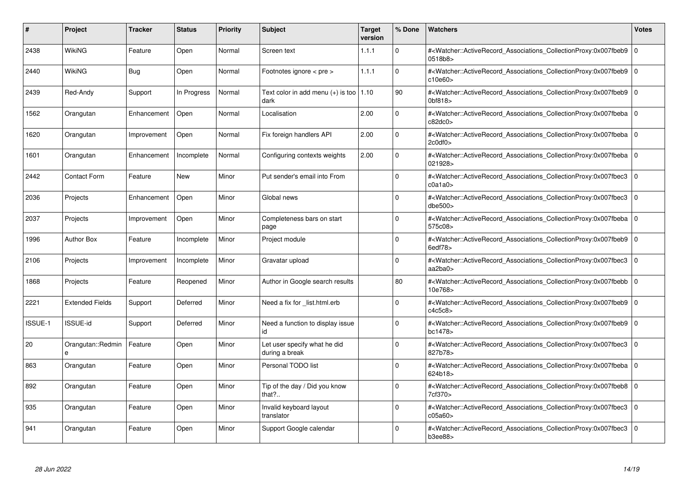| #              | Project                | <b>Tracker</b> | <b>Status</b> | <b>Priority</b> | <b>Subject</b>                                           | <b>Target</b><br>version | % Done      | <b>Watchers</b>                                                                                                                                          | <b>Votes</b> |
|----------------|------------------------|----------------|---------------|-----------------|----------------------------------------------------------|--------------------------|-------------|----------------------------------------------------------------------------------------------------------------------------------------------------------|--------------|
| 2438           | <b>WikiNG</b>          | Feature        | Open          | Normal          | Screen text                                              | 1.1.1                    | $\Omega$    | # <watcher::activerecord associations="" collectionproxy:0x007fbeb9<br="">0518b8&gt;</watcher::activerecord>                                             | $\mathbf 0$  |
| 2440           | WikiNG                 | Bug            | Open          | Normal          | Footnotes ignore $\lt$ pre $\gt$                         | 1.1.1                    | $\mathbf 0$ | # <watcher::activerecord 0<br="" associations="" collectionproxy:0x007fbeb9=""  ="">c10e60&gt;</watcher::activerecord>                                   |              |
| 2439           | Red-Andy               | Support        | In Progress   | Normal          | Text color in add menu $(+)$ is too $\vert$ 1.10<br>dark |                          | 90          | # <watcher::activerecord_associations_collectionproxy:0x007fbeb9<br>0bf818&gt;</watcher::activerecord_associations_collectionproxy:0x007fbeb9<br>        | $\Omega$     |
| 1562           | Orangutan              | Enhancement    | Open          | Normal          | Localisation                                             | 2.00                     | $\Omega$    | # <watcher::activerecord_associations_collectionproxy:0x007fbeba 0<br="">c82dc0</watcher::activerecord_associations_collectionproxy:0x007fbeba>          |              |
| 1620           | Orangutan              | Improvement    | Open          | Normal          | Fix foreign handlers API                                 | 2.00                     | $\Omega$    | # <watcher::activerecord_associations_collectionproxy:0x007fbeba  <br="">2c0df0</watcher::activerecord_associations_collectionproxy:0x007fbeba>          | $\mathbf 0$  |
| 1601           | Orangutan              | Enhancement    | Incomplete    | Normal          | Configuring contexts weights                             | 2.00                     | $\Omega$    | # <watcher::activerecord_associations_collectionproxy:0x007fbeba 0<br=""  ="">021928&gt;</watcher::activerecord_associations_collectionproxy:0x007fbeba> |              |
| 2442           | <b>Contact Form</b>    | Feature        | New           | Minor           | Put sender's email into From                             |                          | $\Omega$    | # <watcher::activerecord associations="" collectionproxy:0x007fbec3<br="">c0a1a0</watcher::activerecord>                                                 | $\mathbf 0$  |
| 2036           | Projects               | Enhancement    | Open          | Minor           | Global news                                              |                          | $\Omega$    | # <watcher::activerecord_associations_collectionproxy:0x007fbec3  <br="">dbe500&gt;</watcher::activerecord_associations_collectionproxy:0x007fbec3>      | $\mathbf 0$  |
| 2037           | Projects               | Improvement    | Open          | Minor           | Completeness bars on start<br>page                       |                          | $\Omega$    | # <watcher::activerecord associations="" collectionproxy:0x007fbeba<br="">575c08&gt;</watcher::activerecord>                                             | $\mathbf 0$  |
| 1996           | <b>Author Box</b>      | Feature        | Incomplete    | Minor           | Project module                                           |                          | $\Omega$    | # <watcher::activerecord associations="" collectionproxy:0x007fbeb9=""  <br="">6edf78&gt;</watcher::activerecord>                                        | $\mathbf 0$  |
| 2106           | Projects               | Improvement    | Incomplete    | Minor           | Gravatar upload                                          |                          | $\Omega$    | # <watcher::activerecord_associations_collectionproxy:0x007fbec3<br>aa2ba0&gt;</watcher::activerecord_associations_collectionproxy:0x007fbec3<br>        | $\Omega$     |
| 1868           | Projects               | Feature        | Reopened      | Minor           | Author in Google search results                          |                          | 80          | # <watcher::activerecord associations="" collectionproxy:0x007fbebb=""  <br="">10e768&gt;</watcher::activerecord>                                        | $\mathbf 0$  |
| 2221           | <b>Extended Fields</b> | Support        | Deferred      | Minor           | Need a fix for list.html.erb                             |                          | $\Omega$    | # <watcher::activerecord 0<br="" associations="" collectionproxy:0x007fbeb9=""  ="">c4c5c8</watcher::activerecord>                                       |              |
| <b>ISSUE-1</b> | <b>ISSUE-id</b>        | Support        | Deferred      | Minor           | Need a function to display issue<br>id                   |                          | $\Omega$    | # <watcher::activerecord_associations_collectionproxy:0x007fbeb9  <br="">bc1478&gt;</watcher::activerecord_associations_collectionproxy:0x007fbeb9>      | $\Omega$     |
| 20             | Orangutan::Redmin      | Feature        | Open          | Minor           | Let user specify what he did<br>during a break           |                          | $\Omega$    | # <watcher::activerecord associations="" collectionproxy:0x007fbec3<br="">827b78&gt;</watcher::activerecord>                                             | $\mathbf 0$  |
| 863            | Orangutan              | Feature        | Open          | Minor           | Personal TODO list                                       |                          | $\Omega$    | # <watcher::activerecord_associations_collectionproxy:0x007fbeba 0<br=""  ="">624b18&gt;</watcher::activerecord_associations_collectionproxy:0x007fbeba> |              |
| 892            | Orangutan              | Feature        | Open          | Minor           | Tip of the day / Did you know<br>that?                   |                          | $\Omega$    | # <watcher::activerecord_associations_collectionproxy:0x007fbeb8  <br="">7cf370&gt;</watcher::activerecord_associations_collectionproxy:0x007fbeb8>      | $\mathbf 0$  |
| 935            | Orangutan              | Feature        | Open          | Minor           | Invalid keyboard layout<br>translator                    |                          | $\Omega$    | # <watcher::activerecord associations="" collectionproxy:0x007fbec3<br="">c05a60&gt;</watcher::activerecord>                                             | $\mathbf 0$  |
| 941            | Orangutan              | Feature        | Open          | Minor           | Support Google calendar                                  |                          | $\Omega$    | # <watcher::activerecord associations="" collectionproxy:0x007fbec3<br="">b3ee88</watcher::activerecord>                                                 | $\mathbf 0$  |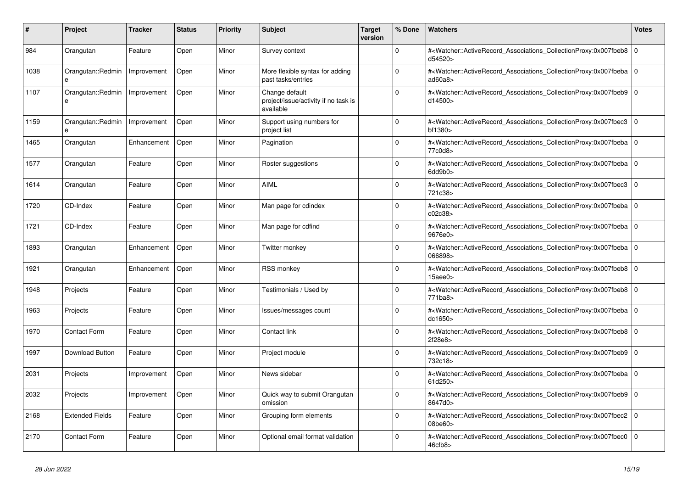| #    | <b>Project</b>         | Tracker     | <b>Status</b> | <b>Priority</b> | <b>Subject</b>                                                      | <b>Target</b><br>version | % Done   | <b>Watchers</b>                                                                                                                                          | <b>Votes</b> |
|------|------------------------|-------------|---------------|-----------------|---------------------------------------------------------------------|--------------------------|----------|----------------------------------------------------------------------------------------------------------------------------------------------------------|--------------|
| 984  | Orangutan              | Feature     | Open          | Minor           | Survey context                                                      |                          | $\Omega$ | # <watcher::activerecord_associations_collectionproxy:0x007fbeb8  <br="">d54520&gt;</watcher::activerecord_associations_collectionproxy:0x007fbeb8>      | $\mathbf 0$  |
| 1038 | Orangutan::Redmin<br>e | Improvement | Open          | Minor           | More flexible syntax for adding<br>past tasks/entries               |                          | $\Omega$ | # <watcher::activerecord associations="" collectionproxy:0x007fbeba=""  <br="">ad60a8</watcher::activerecord>                                            | $\mathbf 0$  |
| 1107 | Orangutan::Redmin<br>e | Improvement | Open          | Minor           | Change default<br>project/issue/activity if no task is<br>available |                          | $\Omega$ | # <watcher::activerecord 0<br="" associations="" collectionproxy:0x007fbeb9=""  ="">d14500&gt;</watcher::activerecord>                                   |              |
| 1159 | Orangutan::Redmin      | Improvement | Open          | Minor           | Support using numbers for<br>project list                           |                          | $\Omega$ | # <watcher::activerecord_associations_collectionproxy:0x007fbec3<br>bf1380&gt;</watcher::activerecord_associations_collectionproxy:0x007fbec3<br>        | $\Omega$     |
| 1465 | Orangutan              | Enhancement | Open          | Minor           | Pagination                                                          |                          | $\Omega$ | # <watcher::activerecord 0<br="" associations="" collectionproxy:0x007fbeba=""  ="">77c0d8&gt;</watcher::activerecord>                                   |              |
| 1577 | Orangutan              | Feature     | Open          | Minor           | Roster suggestions                                                  |                          | $\Omega$ | # <watcher::activerecord_associations_collectionproxy:0x007fbeba 0<br=""  ="">6dd9b0&gt;</watcher::activerecord_associations_collectionproxy:0x007fbeba> |              |
| 1614 | Orangutan              | Feature     | Open          | Minor           | <b>AIML</b>                                                         |                          | $\Omega$ | # <watcher::activerecord_associations_collectionproxy:0x007fbec3<br>721c38&gt;</watcher::activerecord_associations_collectionproxy:0x007fbec3<br>        | $\mathbf 0$  |
| 1720 | CD-Index               | Feature     | Open          | Minor           | Man page for cdindex                                                |                          | $\Omega$ | # <watcher::activerecord_associations_collectionproxy:0x007fbeba 0<br=""  ="">c02c38</watcher::activerecord_associations_collectionproxy:0x007fbeba>     |              |
| 1721 | CD-Index               | Feature     | Open          | Minor           | Man page for cdfind                                                 |                          | $\Omega$ | # <watcher::activerecord 0<br="" associations="" collectionproxy:0x007fbeba=""  ="">9676e0&gt;</watcher::activerecord>                                   |              |
| 1893 | Orangutan              | Enhancement | Open          | Minor           | Twitter monkey                                                      |                          | $\Omega$ | # <watcher::activerecord associations="" collectionproxy:0x007fbeba=""  <br="">066898&gt;</watcher::activerecord>                                        | $\mathbf 0$  |
| 1921 | Orangutan              | Enhancement | Open          | Minor           | <b>RSS monkey</b>                                                   |                          | $\Omega$ | # <watcher::activerecord associations="" collectionproxy:0x007fbeb8<br="">15aee0&gt;</watcher::activerecord>                                             | $\mathbf 0$  |
| 1948 | Projects               | Feature     | Open          | Minor           | Testimonials / Used by                                              |                          | $\Omega$ | # <watcher::activerecord 0<br="" associations="" collectionproxy:0x007fbeb8="">771ba8&gt;</watcher::activerecord>                                        |              |
| 1963 | Projects               | Feature     | Open          | Minor           | Issues/messages count                                               |                          | $\Omega$ | # <watcher::activerecord_associations_collectionproxy:0x007fbeba  <br="">dc1650&gt;</watcher::activerecord_associations_collectionproxy:0x007fbeba>      | $\Omega$     |
| 1970 | <b>Contact Form</b>    | Feature     | Open          | Minor           | Contact link                                                        |                          | $\Omega$ | # <watcher::activerecord 0<br="" associations="" collectionproxy:0x007fbeb8=""  ="">2f28e8&gt;</watcher::activerecord>                                   |              |
| 1997 | Download Button        | Feature     | Open          | Minor           | Project module                                                      |                          | $\Omega$ | # <watcher::activerecord associations="" collectionproxy:0x007fbeb9<br="">732c18&gt;</watcher::activerecord>                                             | $\mathbf 0$  |
| 2031 | Projects               | Improvement | Open          | Minor           | News sidebar                                                        |                          | $\Omega$ | # <watcher::activerecord_associations_collectionproxy:0x007fbeba  <br="">61d250&gt;</watcher::activerecord_associations_collectionproxy:0x007fbeba>      | $\Omega$     |
| 2032 | Projects               | Improvement | Open          | Minor           | Quick way to submit Orangutan<br>omission                           |                          | $\Omega$ | # <watcher::activerecord associations="" collectionproxy:0x007fbeb9=""  <br="">8647d0&gt;</watcher::activerecord>                                        | $\mathbf 0$  |
| 2168 | <b>Extended Fields</b> | Feature     | Open          | Minor           | Grouping form elements                                              |                          | $\Omega$ | # <watcher::activerecord_associations_collectionproxy:0x007fbec2<br>08be60&gt;</watcher::activerecord_associations_collectionproxy:0x007fbec2<br>        | $\mathbf 0$  |
| 2170 | Contact Form           | Feature     | Open          | Minor           | Optional email format validation                                    |                          | $\Omega$ | # <watcher::activerecord_associations_collectionproxy:0x007fbec0<br>46cfb8</watcher::activerecord_associations_collectionproxy:0x007fbec0<br>            | $\Omega$     |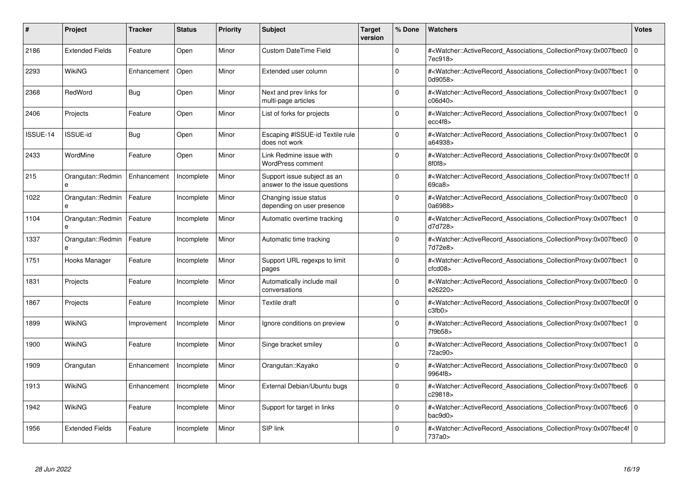| #        | Project                | <b>Tracker</b> | <b>Status</b> | <b>Priority</b> | <b>Subject</b>                                               | <b>Target</b><br>version | % Done      | <b>Watchers</b>                                                                                                                                              | <b>Votes</b> |
|----------|------------------------|----------------|---------------|-----------------|--------------------------------------------------------------|--------------------------|-------------|--------------------------------------------------------------------------------------------------------------------------------------------------------------|--------------|
| 2186     | <b>Extended Fields</b> | Feature        | Open          | Minor           | <b>Custom DateTime Field</b>                                 |                          | $\Omega$    | # <watcher::activerecord associations="" collectionproxy:0x007fbec0<br="">7ec918&gt;</watcher::activerecord>                                                 | $\mathbf 0$  |
| 2293     | WikiNG                 | Enhancement    | Open          | Minor           | Extended user column                                         |                          | $\Omega$    | # <watcher::activerecord associations="" collectionproxy:0x007fbec1=""  <br="">0d9058&gt;</watcher::activerecord>                                            | $\mathbf 0$  |
| 2368     | RedWord                | <b>Bug</b>     | Open          | Minor           | Next and prev links for<br>multi-page articles               |                          | $\Omega$    | # <watcher::activerecord_associations_collectionproxy:0x007fbec1<br>c06d40&gt;</watcher::activerecord_associations_collectionproxy:0x007fbec1<br>            | $\Omega$     |
| 2406     | Projects               | Feature        | Open          | Minor           | List of forks for projects                                   |                          | $\Omega$    | # <watcher::activerecord_associations_collectionproxy:0x007fbec1 0<br="">ecc4f8</watcher::activerecord_associations_collectionproxy:0x007fbec1>              |              |
| ISSUE-14 | <b>ISSUE-id</b>        | Bug            | Open          | Minor           | Escaping #ISSUE-id Textile rule<br>does not work             |                          | $\Omega$    | # <watcher::activerecord_associations_collectionproxy:0x007fbec1<br>a64938&gt;</watcher::activerecord_associations_collectionproxy:0x007fbec1<br>            | $\mathbf 0$  |
| 2433     | WordMine               | Feature        | Open          | Minor           | Link Redmine issue with<br><b>WordPress comment</b>          |                          | $\Omega$    | # <watcher::activerecord_associations_collectionproxy:0x007fbec0f 0<br=""  ="">8f0f8</watcher::activerecord_associations_collectionproxy:0x007fbec0f>        |              |
| 215      | Orangutan::Redmin      | Enhancement    | Incomplete    | Minor           | Support issue subject as an<br>answer to the issue questions |                          | $\Omega$    | # <watcher::activerecord 0<br="" associations="" collectionproxy:0x007fbec1f=""  ="">69ca8</watcher::activerecord>                                           |              |
| 1022     | Orangutan::Redmin      | Feature        | Incomplete    | Minor           | Changing issue status<br>depending on user presence          |                          | $\Omega$    | # <watcher::activerecord_associations_collectionproxy:0x007fbec0  <br="">0a6988&gt;</watcher::activerecord_associations_collectionproxy:0x007fbec0>          | $\mathbf 0$  |
| 1104     | Orangutan::Redmin<br>e | Feature        | Incomplete    | Minor           | Automatic overtime tracking                                  |                          | $\Omega$    | # <watcher::activerecord associations="" collectionproxy:0x007fbec1<br="">d7d728&gt;</watcher::activerecord>                                                 | $\Omega$     |
| 1337     | Orangutan::Redmin<br>e | Feature        | Incomplete    | Minor           | Automatic time tracking                                      |                          | $\Omega$    | # <watcher::activerecord associations="" collectionproxy:0x007fbec0<br="">7d72e8&gt;</watcher::activerecord>                                                 | $\mathbf 0$  |
| 1751     | Hooks Manager          | Feature        | Incomplete    | Minor           | Support URL regexps to limit<br>pages                        |                          | $\Omega$    | # <watcher::activerecord_associations_collectionproxy:0x007fbec1<br>ctcd08<sub>&gt;</sub></watcher::activerecord_associations_collectionproxy:0x007fbec1<br> | $\Omega$     |
| 1831     | Projects               | Feature        | Incomplete    | Minor           | Automatically include mail<br>conversations                  |                          | $\Omega$    | # <watcher::activerecord associations="" collectionproxy:0x007fbec0<br="">e26220&gt;</watcher::activerecord>                                                 | $\mathbf 0$  |
| 1867     | Projects               | Feature        | Incomplete    | Minor           | Textile draft                                                |                          | $\Omega$    | # <watcher::activerecord 0<br="" associations="" collectionproxy:0x007fbec0f=""  ="">c3fb0</watcher::activerecord>                                           |              |
| 1899     | WikiNG                 | Improvement    | Incomplete    | Minor           | Ignore conditions on preview                                 |                          | $\Omega$    | # <watcher::activerecord_associations_collectionproxy:0x007fbec1<br>7f9b58&gt;</watcher::activerecord_associations_collectionproxy:0x007fbec1<br>            | $\Omega$     |
| 1900     | <b>WikiNG</b>          | Feature        | Incomplete    | Minor           | Singe bracket smiley                                         |                          | $\Omega$    | # <watcher::activerecord associations="" collectionproxy:0x007fbec1<br="">72ac90&gt;</watcher::activerecord>                                                 | $\mathbf 0$  |
| 1909     | Orangutan              | Enhancement    | Incomplete    | Minor           | Orangutan::Kayako                                            |                          | $\Omega$    | # <watcher::activerecord_associations_collectionproxy:0x007fbec0<br>9964f8&gt;</watcher::activerecord_associations_collectionproxy:0x007fbec0<br>            | $\mathbf 0$  |
| 1913     | <b>WikiNG</b>          | Enhancement    | Incomplete    | Minor           | External Debian/Ubuntu bugs                                  |                          | $\Omega$    | # <watcher::activerecord_associations_collectionproxy:0x007fbec6  <br="">c29818&gt;</watcher::activerecord_associations_collectionproxy:0x007fbec6>          | $\mathbf 0$  |
| 1942     | WikiNG                 | Feature        | Incomplete    | Minor           | Support for target in links                                  |                          | $\mathbf 0$ | # <watcher::activerecord associations="" collectionproxy:0x007fbec6<br="">bac9d0</watcher::activerecord>                                                     | $\mathbf 0$  |
| 1956     | <b>Extended Fields</b> | Feature        | Incomplete    | Minor           | SIP link                                                     |                          | $\Omega$    | # <watcher::activerecord_associations_collectionproxy:0x007fbec4f 0<br=""  ="">737a0&gt;</watcher::activerecord_associations_collectionproxy:0x007fbec4f>    |              |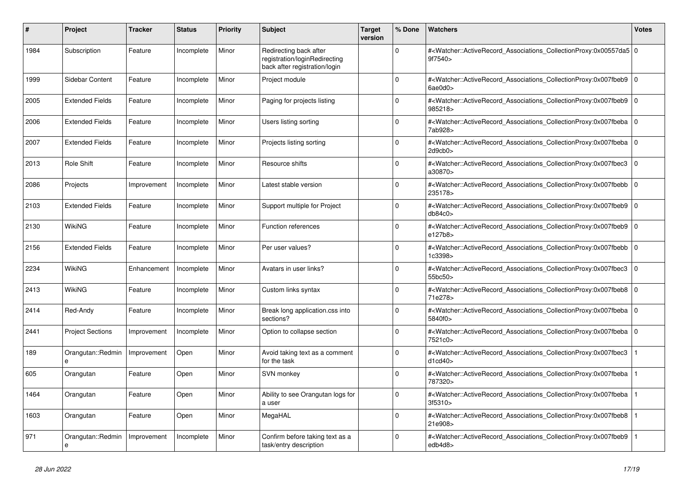| #    | Project                 | <b>Tracker</b> | <b>Status</b> | <b>Priority</b> | <b>Subject</b>                                                                           | <b>Target</b><br>version | % Done      | <b>Watchers</b>                                                                                                                                          | Votes          |
|------|-------------------------|----------------|---------------|-----------------|------------------------------------------------------------------------------------------|--------------------------|-------------|----------------------------------------------------------------------------------------------------------------------------------------------------------|----------------|
| 1984 | Subscription            | Feature        | Incomplete    | Minor           | Redirecting back after<br>registration/loginRedirecting<br>back after registration/login |                          | $\Omega$    | # <watcher::activerecord_associations_collectionproxy:0x00557da5 0<br=""  ="">9f7540&gt;</watcher::activerecord_associations_collectionproxy:0x00557da5> |                |
| 1999 | Sidebar Content         | Feature        | Incomplete    | Minor           | Project module                                                                           |                          | 0           | # <watcher::activerecord_associations_collectionproxy:0x007fbeb9 0<br=""  ="">6ae0d0&gt;</watcher::activerecord_associations_collectionproxy:0x007fbeb9> |                |
| 2005 | <b>Extended Fields</b>  | Feature        | Incomplete    | Minor           | Paging for projects listing                                                              |                          | $\Omega$    | # <watcher::activerecord_associations_collectionproxy:0x007fbeb9 0<br=""  ="">985218&gt;</watcher::activerecord_associations_collectionproxy:0x007fbeb9> |                |
| 2006 | <b>Extended Fields</b>  | Feature        | Incomplete    | Minor           | Users listing sorting                                                                    |                          | $\Omega$    | # <watcher::activerecord_associations_collectionproxy:0x007fbeba<br>7ab928&gt;</watcher::activerecord_associations_collectionproxy:0x007fbeba<br>        | l O            |
| 2007 | <b>Extended Fields</b>  | Feature        | Incomplete    | Minor           | Projects listing sorting                                                                 |                          | 0           | # <watcher::activerecord associations="" collectionproxy:0x007fbeba<br="">2d9cb0&gt;</watcher::activerecord>                                             | 0              |
| 2013 | <b>Role Shift</b>       | Feature        | Incomplete    | Minor           | Resource shifts                                                                          |                          | $\Omega$    | # <watcher::activerecord_associations_collectionproxy:0x007fbec3<br>a30870&gt;</watcher::activerecord_associations_collectionproxy:0x007fbec3<br>        | 0              |
| 2086 | Projects                | Improvement    | Incomplete    | Minor           | Latest stable version                                                                    |                          | $\Omega$    | # <watcher::activerecord_associations_collectionproxy:0x007fbebb<br>235178&gt;</watcher::activerecord_associations_collectionproxy:0x007fbebb<br>        | $\overline{0}$ |
| 2103 | <b>Extended Fields</b>  | Feature        | Incomplete    | Minor           | Support multiple for Project                                                             |                          | $\Omega$    | # <watcher::activerecord 0<br="" associations="" collectionproxy:0x007fbeb9=""  ="">db84c0</watcher::activerecord>                                       |                |
| 2130 | WikiNG                  | Feature        | Incomplete    | Minor           | <b>Function references</b>                                                               |                          | $\Omega$    | # <watcher::activerecord_associations_collectionproxy:0x007fbeb9<br>e127b8&gt;</watcher::activerecord_associations_collectionproxy:0x007fbeb9<br>        | l O            |
| 2156 | <b>Extended Fields</b>  | Feature        | Incomplete    | Minor           | Per user values?                                                                         |                          | $\Omega$    | # <watcher::activerecord_associations_collectionproxy:0x007fbebb<br>1c3398&gt;</watcher::activerecord_associations_collectionproxy:0x007fbebb<br>        | $\overline{0}$ |
| 2234 | <b>WikiNG</b>           | Enhancement    | Incomplete    | Minor           | Avatars in user links?                                                                   |                          | $\Omega$    | # <watcher::activerecord associations="" collectionproxy:0x007fbec3<br="">55bc50&gt;</watcher::activerecord>                                             | $\overline{0}$ |
| 2413 | WikiNG                  | Feature        | Incomplete    | Minor           | Custom links syntax                                                                      |                          | $\Omega$    | # <watcher::activerecord_associations_collectionproxy:0x007fbeb8<br>71e278&gt;</watcher::activerecord_associations_collectionproxy:0x007fbeb8<br>        | l O            |
| 2414 | Red-Andy                | Feature        | Incomplete    | Minor           | Break long application.css into<br>sections?                                             |                          | $\Omega$    | # <watcher::activerecord_associations_collectionproxy:0x007fbeba<br>5840f0&gt;</watcher::activerecord_associations_collectionproxy:0x007fbeba<br>        | $\overline{0}$ |
| 2441 | <b>Project Sections</b> | Improvement    | Incomplete    | Minor           | Option to collapse section                                                               |                          | $\Omega$    | # <watcher::activerecord 0<br="" associations="" collectionproxy:0x007fbeba=""  ="">7521c0&gt;</watcher::activerecord>                                   |                |
| 189  | Orangutan::Redmin<br>e  | Improvement    | Open          | Minor           | Avoid taking text as a comment<br>for the task                                           |                          | $\mathbf 0$ | # <watcher::activerecord associations="" collectionproxy:0x007fbec3<br="">d1cd40&gt;</watcher::activerecord>                                             |                |
| 605  | Orangutan               | Feature        | Open          | Minor           | SVN monkey                                                                               |                          | $\Omega$    | # <watcher::activerecord_associations_collectionproxy:0x007fbeba<br>787320&gt;</watcher::activerecord_associations_collectionproxy:0x007fbeba<br>        |                |
| 1464 | Orangutan               | Feature        | Open          | Minor           | Ability to see Orangutan logs for<br>a user                                              |                          | $\Omega$    | # <watcher::activerecord associations="" collectionproxy:0x007fbeba<br="">3f5310&gt;</watcher::activerecord>                                             |                |
| 1603 | Orangutan               | Feature        | Open          | Minor           | MegaHAL                                                                                  |                          | $\Omega$    | # <watcher::activerecord_associations_collectionproxy:0x007fbeb8<br>21e908&gt;</watcher::activerecord_associations_collectionproxy:0x007fbeb8<br>        |                |
| 971  | Orangutan::Redmin<br>e  | Improvement    | Incomplete    | Minor           | Confirm before taking text as a<br>task/entry description                                |                          | $\Omega$    | # <watcher::activerecord_associations_collectionproxy:0x007fbeb9<br>edb4d8&gt;</watcher::activerecord_associations_collectionproxy:0x007fbeb9<br>        |                |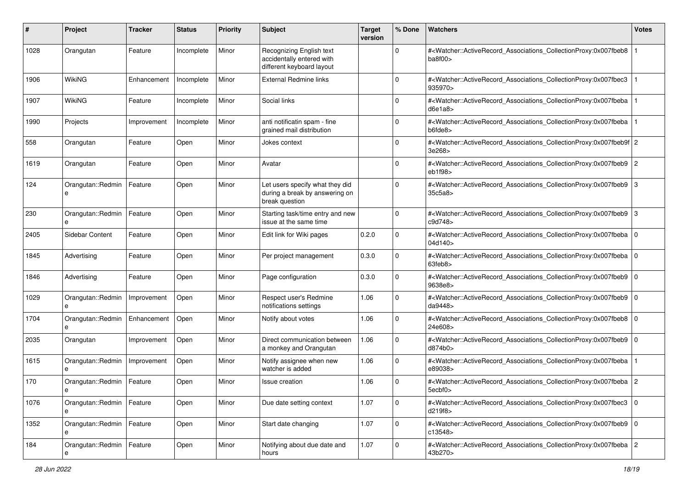| #    | Project                          | <b>Tracker</b> | <b>Status</b> | <b>Priority</b> | Subject                                                                             | <b>Target</b><br>version | % Done      | <b>Watchers</b>                                                                                                                                                           | <b>Votes</b> |
|------|----------------------------------|----------------|---------------|-----------------|-------------------------------------------------------------------------------------|--------------------------|-------------|---------------------------------------------------------------------------------------------------------------------------------------------------------------------------|--------------|
| 1028 | Orangutan                        | Feature        | Incomplete    | Minor           | Recognizing English text<br>accidentally entered with<br>different keyboard layout  |                          | 0           | # <watcher::activerecord_associations_collectionproxy:0x007fbeb8<br>ba8f00&gt;</watcher::activerecord_associations_collectionproxy:0x007fbeb8<br>                         |              |
| 1906 | <b>WikiNG</b>                    | Enhancement    | Incomplete    | Minor           | <b>External Redmine links</b>                                                       |                          | 0           | # <watcher::activerecord associations="" collectionproxy:0x007fbec3<br="">935970&gt;</watcher::activerecord>                                                              |              |
| 1907 | <b>WikiNG</b>                    | Feature        | Incomplete    | Minor           | Social links                                                                        |                          | 0           | # <watcher::activerecord_associations_collectionproxy:0x007fbeba<br>d6e1a8&gt;</watcher::activerecord_associations_collectionproxy:0x007fbeba<br>                         |              |
| 1990 | Projects                         | Improvement    | Incomplete    | Minor           | anti notificatin spam - fine<br>grained mail distribution                           |                          | 0           | # <watcher::activerecord_associations_collectionproxy:0x007fbeba<br>b6fde8&gt;</watcher::activerecord_associations_collectionproxy:0x007fbeba<br>                         |              |
| 558  | Orangutan                        | Feature        | Open          | Minor           | Jokes context                                                                       |                          | 0           | # <watcher::activerecord_associations_collectionproxy:0x007fbeb9f 2<br="">3e268&gt;</watcher::activerecord_associations_collectionproxy:0x007fbeb9f>                      |              |
| 1619 | Orangutan                        | Feature        | Open          | Minor           | Avatar                                                                              |                          | $\Omega$    | # <watcher::activerecord_associations_collectionproxy:0x007fbeb9 2<br="">eb1f98</watcher::activerecord_associations_collectionproxy:0x007fbeb9>                           |              |
| 124  | Orangutan::Redmin                | Feature        | Open          | Minor           | Let users specify what they did<br>during a break by answering on<br>break question |                          | $\Omega$    | # <watcher::activerecord_associations_collectionproxy:0x007fbeb9 3<br="">35c5a8&gt;</watcher::activerecord_associations_collectionproxy:0x007fbeb9>                       |              |
| 230  | Orangutan::Redmin                | Feature        | Open          | Minor           | Starting task/time entry and new<br>issue at the same time                          |                          | $\Omega$    | # <watcher::activerecord_associations_collectionproxy:0x007fbeb9 3<br="">c9d748&gt;</watcher::activerecord_associations_collectionproxy:0x007fbeb9>                       |              |
| 2405 | Sidebar Content                  | Feature        | Open          | Minor           | Edit link for Wiki pages                                                            | 0.2.0                    | 0           | # <watcher::activerecord_associations_collectionproxy:0x007fbeba 0<br=""  ="">04d140&gt;</watcher::activerecord_associations_collectionproxy:0x007fbeba>                  |              |
| 1845 | Advertising                      | Feature        | Open          | Minor           | Per project management                                                              | 0.3.0                    | $\mathbf 0$ | # <watcher::activerecord_associations_collectionproxy:0x007fbeba 0<br=""  =""><math>63 \text{feb}8</math></watcher::activerecord_associations_collectionproxy:0x007fbeba> |              |
| 1846 | Advertising                      | Feature        | Open          | Minor           | Page configuration                                                                  | 0.3.0                    | $\mathbf 0$ | # <watcher::activerecord_associations_collectionproxy:0x007fbeb9 0<br="">9638e8&gt;</watcher::activerecord_associations_collectionproxy:0x007fbeb9>                       |              |
| 1029 | Orangutan::Redmin<br>e           | Improvement    | Open          | Minor           | Respect user's Redmine<br>notifications settings                                    | 1.06                     | $\mathbf 0$ | # <watcher::activerecord_associations_collectionproxy:0x007fbeb9 0<br=""  ="">da9448&gt;</watcher::activerecord_associations_collectionproxy:0x007fbeb9>                  |              |
| 1704 | Orangutan::Redmin<br>e           | Enhancement    | Open          | Minor           | Notify about votes                                                                  | 1.06                     | 0           | # <watcher::activerecord_associations_collectionproxy:0x007fbeb8 0<br=""  ="">24e608&gt;</watcher::activerecord_associations_collectionproxy:0x007fbeb8>                  |              |
| 2035 | Orangutan                        | Improvement    | Open          | Minor           | Direct communication between<br>a monkey and Orangutan                              | 1.06                     | $\mathbf 0$ | # <watcher::activerecord_associations_collectionproxy:0x007fbeb9 0<br="">d874b0&gt;</watcher::activerecord_associations_collectionproxy:0x007fbeb9>                       |              |
| 1615 | Orangutan::Redmin                | Improvement    | Open          | Minor           | Notify assignee when new<br>watcher is added                                        | 1.06                     | $\Omega$    | # <watcher::activerecord_associations_collectionproxy:0x007fbeba<br>e89038&gt;</watcher::activerecord_associations_collectionproxy:0x007fbeba<br>                         |              |
| 170  | Orangutan::Redmin<br>е           | Feature        | Open          | Minor           | Issue creation                                                                      | 1.06                     | $\Omega$    | # <watcher::activerecord_associations_collectionproxy:0x007fbeba 2<br="">5ecbf0&gt;</watcher::activerecord_associations_collectionproxy:0x007fbeba>                       |              |
| 1076 | Orangutan::Redmin<br>e           | Feature        | Open          | Minor           | Due date setting context                                                            | 1.07                     | $\mathbf 0$ | # <watcher::activerecord_associations_collectionproxy:0x007fbec3 0<br=""  ="">d219f8&gt;</watcher::activerecord_associations_collectionproxy:0x007fbec3>                  |              |
| 1352 | Orangutan::Redmin   Feature<br>e |                | Open          | Minor           | Start date changing                                                                 | 1.07                     | $\mathbf 0$ | # <watcher::activerecord 0<br="" associations="" collectionproxy:0x007fbeb9="">c13548&gt;</watcher::activerecord>                                                         |              |
| 184  | Orangutan::Redmin                | Feature        | Open          | Minor           | Notifying about due date and<br>hours                                               | 1.07                     | 0           | # <watcher::activerecord_associations_collectionproxy:0x007fbeba 2<br="">43b270&gt;</watcher::activerecord_associations_collectionproxy:0x007fbeba>                       |              |